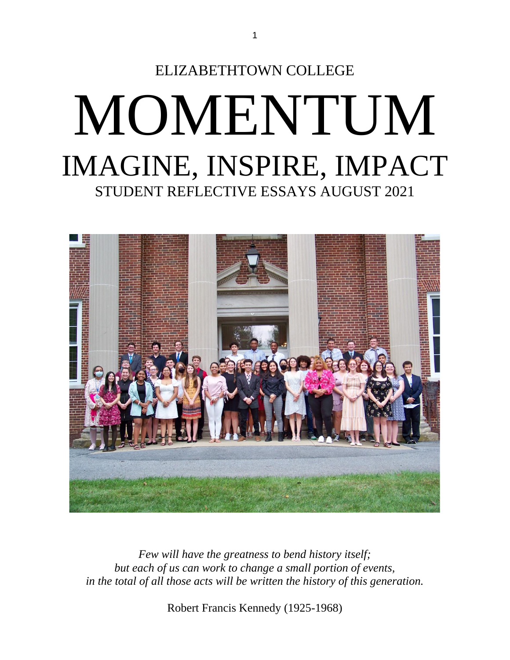



*Few will have the greatness to bend history itself; but each of us can work to change a small portion of events, in the total of all those acts will be written the history of this generation.*

Robert Francis Kennedy (1925-1968)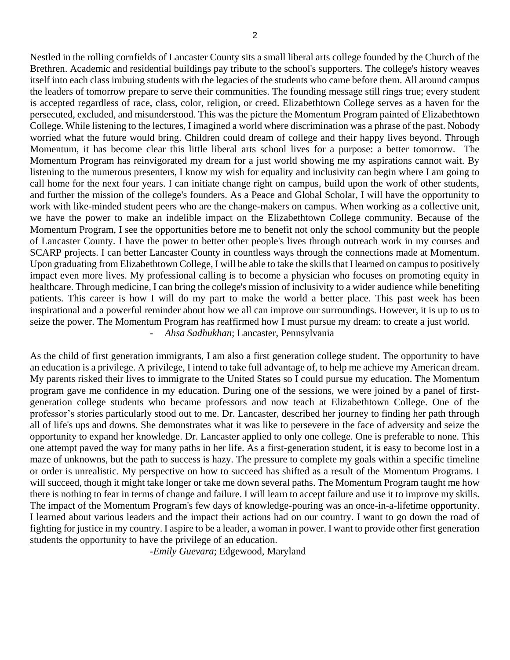Nestled in the rolling cornfields of Lancaster County sits a small liberal arts college founded by the Church of the Brethren. Academic and residential buildings pay tribute to the school's supporters. The college's history weaves itself into each class imbuing students with the legacies of the students who came before them. All around campus the leaders of tomorrow prepare to serve their communities. The founding message still rings true; every student is accepted regardless of race, class, color, religion, or creed. Elizabethtown College serves as a haven for the persecuted, excluded, and misunderstood. This was the picture the Momentum Program painted of Elizabethtown College. While listening to the lectures, I imagined a world where discrimination was a phrase of the past. Nobody worried what the future would bring. Children could dream of college and their happy lives beyond. Through Momentum, it has become clear this little liberal arts school lives for a purpose: a better tomorrow. The Momentum Program has reinvigorated my dream for a just world showing me my aspirations cannot wait. By listening to the numerous presenters, I know my wish for equality and inclusivity can begin where I am going to call home for the next four years. I can initiate change right on campus, build upon the work of other students, and further the mission of the college's founders. As a Peace and Global Scholar, I will have the opportunity to work with like-minded student peers who are the change-makers on campus. When working as a collective unit, we have the power to make an indelible impact on the Elizabethtown College community. Because of the Momentum Program, I see the opportunities before me to benefit not only the school community but the people of Lancaster County. I have the power to better other people's lives through outreach work in my courses and SCARP projects. I can better Lancaster County in countless ways through the connections made at Momentum. Upon graduating from Elizabethtown College, I will be able to take the skills that I learned on campus to positively impact even more lives. My professional calling is to become a physician who focuses on promoting equity in healthcare. Through medicine, I can bring the college's mission of inclusivity to a wider audience while benefiting patients. This career is how I will do my part to make the world a better place. This past week has been inspirational and a powerful reminder about how we all can improve our surroundings. However, it is up to us to seize the power. The Momentum Program has reaffirmed how I must pursue my dream: to create a just world. *- Ahsa Sadhukhan*; Lancaster, Pennsylvania

As the child of first generation immigrants, I am also a first generation college student. The opportunity to have an education is a privilege. A privilege, I intend to take full advantage of, to help me achieve my American dream. My parents risked their lives to immigrate to the United States so I could pursue my education. The Momentum program gave me confidence in my education. During one of the sessions, we were joined by a panel of firstgeneration college students who became professors and now teach at Elizabethtown College. One of the professor's stories particularly stood out to me. Dr. Lancaster, described her journey to finding her path through all of life's ups and downs. She demonstrates what it was like to persevere in the face of adversity and seize the opportunity to expand her knowledge. Dr. Lancaster applied to only one college. One is preferable to none. This one attempt paved the way for many paths in her life. As a first-generation student, it is easy to become lost in a maze of unknowns, but the path to success is hazy. The pressure to complete my goals within a specific timeline or order is unrealistic. My perspective on how to succeed has shifted as a result of the Momentum Programs. I will succeed, though it might take longer or take me down several paths. The Momentum Program taught me how there is nothing to fear in terms of change and failure. I will learn to accept failure and use it to improve my skills. The impact of the Momentum Program's few days of knowledge-pouring was an once-in-a-lifetime opportunity. I learned about various leaders and the impact their actions had on our country. I want to go down the road of fighting for justice in my country. I aspire to be a leader, a woman in power. I want to provide other first generation students the opportunity to have the privilege of an education.

-*Emily Guevara*; Edgewood, Maryland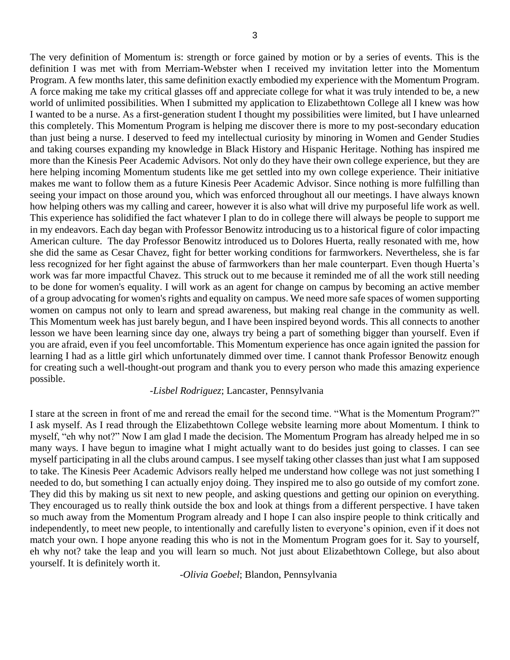The very definition of Momentum is: strength or force gained by motion or by a series of events. This is the definition I was met with from Merriam-Webster when I received my invitation letter into the Momentum Program. A few months later, this same definition exactly embodied my experience with the Momentum Program. A force making me take my critical glasses off and appreciate college for what it was truly intended to be, a new world of unlimited possibilities. When I submitted my application to Elizabethtown College all I knew was how I wanted to be a nurse. As a first-generation student I thought my possibilities were limited, but I have unlearned this completely. This Momentum Program is helping me discover there is more to my post-secondary education than just being a nurse. I deserved to feed my intellectual curiosity by minoring in Women and Gender Studies and taking courses expanding my knowledge in Black History and Hispanic Heritage. Nothing has inspired me more than the Kinesis Peer Academic Advisors. Not only do they have their own college experience, but they are here helping incoming Momentum students like me get settled into my own college experience. Their initiative makes me want to follow them as a future Kinesis Peer Academic Advisor. Since nothing is more fulfilling than seeing your impact on those around you, which was enforced throughout all our meetings. I have always known how helping others was my calling and career, however it is also what will drive my purposeful life work as well. This experience has solidified the fact whatever I plan to do in college there will always be people to support me in my endeavors. Each day began with Professor Benowitz introducing us to a historical figure of color impacting American culture. The day Professor Benowitz introduced us to Dolores Huerta, really resonated with me, how she did the same as Cesar Chavez, fight for better working conditions for farmworkers. Nevertheless, she is far less recognized for her fight against the abuse of farmworkers than her male counterpart. Even though Huerta's work was far more impactful Chavez. This struck out to me because it reminded me of all the work still needing to be done for women's equality. I will work as an agent for change on campus by becoming an active member of a group advocating for women's rights and equality on campus. We need more safe spaces of women supporting women on campus not only to learn and spread awareness, but making real change in the community as well. This Momentum week has just barely begun, and I have been inspired beyond words. This all connects to another lesson we have been learning since day one, always try being a part of something bigger than yourself. Even if you are afraid, even if you feel uncomfortable. This Momentum experience has once again ignited the passion for learning I had as a little girl which unfortunately dimmed over time. I cannot thank Professor Benowitz enough for creating such a well-thought-out program and thank you to every person who made this amazing experience possible.

# -*Lisbel Rodriguez*; Lancaster, Pennsylvania

I stare at the screen in front of me and reread the email for the second time. "What is the Momentum Program?" I ask myself. As I read through the Elizabethtown College website learning more about Momentum. I think to myself, "eh why not?" Now I am glad I made the decision. The Momentum Program has already helped me in so many ways. I have begun to imagine what I might actually want to do besides just going to classes. I can see myself participating in all the clubs around campus. I see myself taking other classes than just what I am supposed to take. The Kinesis Peer Academic Advisors really helped me understand how college was not just something I needed to do, but something I can actually enjoy doing. They inspired me to also go outside of my comfort zone. They did this by making us sit next to new people, and asking questions and getting our opinion on everything. They encouraged us to really think outside the box and look at things from a different perspective. I have taken so much away from the Momentum Program already and I hope I can also inspire people to think critically and independently, to meet new people, to intentionally and carefully listen to everyone's opinion, even if it does not match your own. I hope anyone reading this who is not in the Momentum Program goes for it. Say to yourself, eh why not? take the leap and you will learn so much. Not just about Elizabethtown College, but also about yourself. It is definitely worth it.

*-Olivia Goebel*; Blandon, Pennsylvania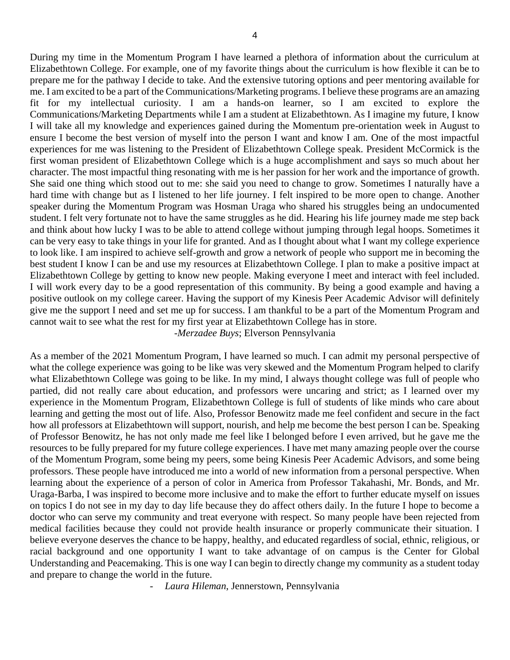During my time in the Momentum Program I have learned a plethora of information about the curriculum at Elizabethtown College. For example, one of my favorite things about the curriculum is how flexible it can be to prepare me for the pathway I decide to take. And the extensive tutoring options and peer mentoring available for me. I am excited to be a part of the Communications/Marketing programs. I believe these programs are an amazing fit for my intellectual curiosity. I am a hands-on learner, so I am excited to explore the Communications/Marketing Departments while I am a student at Elizabethtown. As I imagine my future, I know I will take all my knowledge and experiences gained during the Momentum pre-orientation week in August to ensure I become the best version of myself into the person I want and know I am. One of the most impactful experiences for me was listening to the President of Elizabethtown College speak. President McCormick is the first woman president of Elizabethtown College which is a huge accomplishment and says so much about her character. The most impactful thing resonating with me is her passion for her work and the importance of growth. She said one thing which stood out to me: she said you need to change to grow. Sometimes I naturally have a hard time with change but as I listened to her life journey. I felt inspired to be more open to change. Another speaker during the Momentum Program was Hosman Uraga who shared his struggles being an undocumented student. I felt very fortunate not to have the same struggles as he did. Hearing his life journey made me step back and think about how lucky I was to be able to attend college without jumping through legal hoops. Sometimes it can be very easy to take things in your life for granted. And as I thought about what I want my college experience to look like. I am inspired to achieve self-growth and grow a network of people who support me in becoming the best student I know I can be and use my resources at Elizabethtown College. I plan to make a positive impact at Elizabethtown College by getting to know new people. Making everyone I meet and interact with feel included. I will work every day to be a good representation of this community. By being a good example and having a positive outlook on my college career. Having the support of my Kinesis Peer Academic Advisor will definitely give me the support I need and set me up for success. I am thankful to be a part of the Momentum Program and cannot wait to see what the rest for my first year at Elizabethtown College has in store. -*Merzadee Buys*; Elverson Pennsylvania

As a member of the 2021 Momentum Program, I have learned so much. I can admit my personal perspective of what the college experience was going to be like was very skewed and the Momentum Program helped to clarify what Elizabethtown College was going to be like. In my mind, I always thought college was full of people who partied, did not really care about education, and professors were uncaring and strict; as I learned over my experience in the Momentum Program, Elizabethtown College is full of students of like minds who care about learning and getting the most out of life. Also, Professor Benowitz made me feel confident and secure in the fact how all professors at Elizabethtown will support, nourish, and help me become the best person I can be. Speaking of Professor Benowitz, he has not only made me feel like I belonged before I even arrived, but he gave me the resources to be fully prepared for my future college experiences. I have met many amazing people over the course of the Momentum Program, some being my peers, some being Kinesis Peer Academic Advisors, and some being professors. These people have introduced me into a world of new information from a personal perspective. When learning about the experience of a person of color in America from Professor Takahashi, Mr. Bonds, and Mr. Uraga-Barba, I was inspired to become more inclusive and to make the effort to further educate myself on issues on topics I do not see in my day to day life because they do affect others daily. In the future I hope to become a doctor who can serve my community and treat everyone with respect. So many people have been rejected from medical facilities because they could not provide health insurance or properly communicate their situation. I believe everyone deserves the chance to be happy, healthy, and educated regardless of social, ethnic, religious, or racial background and one opportunity I want to take advantage of on campus is the Center for Global Understanding and Peacemaking. This is one way I can begin to directly change my community as a student today and prepare to change the world in the future.

*- Laura Hileman*, Jennerstown, Pennsylvania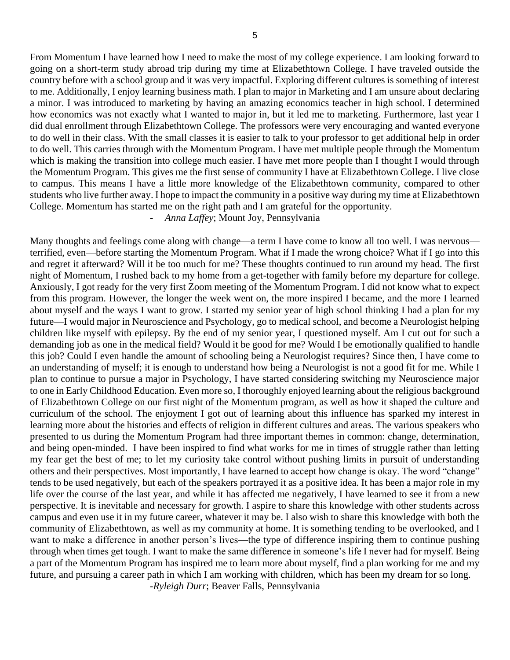From Momentum I have learned how I need to make the most of my college experience. I am looking forward to going on a short-term study abroad trip during my time at Elizabethtown College. I have traveled outside the country before with a school group and it was very impactful. Exploring different cultures is something of interest to me. Additionally, I enjoy learning business math. I plan to major in Marketing and I am unsure about declaring a minor. I was introduced to marketing by having an amazing economics teacher in high school. I determined how economics was not exactly what I wanted to major in, but it led me to marketing. Furthermore, last year I did dual enrollment through Elizabethtown College. The professors were very encouraging and wanted everyone to do well in their class. With the small classes it is easier to talk to your professor to get additional help in order to do well. This carries through with the Momentum Program. I have met multiple people through the Momentum which is making the transition into college much easier. I have met more people than I thought I would through the Momentum Program. This gives me the first sense of community I have at Elizabethtown College. I live close to campus. This means I have a little more knowledge of the Elizabethtown community, compared to other students who live further away. I hope to impact the community in a positive way during my time at Elizabethtown College. Momentum has started me on the right path and I am grateful for the opportunity.

# *- Anna Laffey*; Mount Joy, Pennsylvania

Many thoughts and feelings come along with change—a term I have come to know all too well. I was nervous terrified, even—before starting the Momentum Program. What if I made the wrong choice? What if I go into this and regret it afterward? Will it be too much for me? These thoughts continued to run around my head. The first night of Momentum, I rushed back to my home from a get-together with family before my departure for college. Anxiously, I got ready for the very first Zoom meeting of the Momentum Program. I did not know what to expect from this program. However, the longer the week went on, the more inspired I became, and the more I learned about myself and the ways I want to grow. I started my senior year of high school thinking I had a plan for my future—I would major in Neuroscience and Psychology, go to medical school, and become a Neurologist helping children like myself with epilepsy. By the end of my senior year, I questioned myself. Am I cut out for such a demanding job as one in the medical field? Would it be good for me? Would I be emotionally qualified to handle this job? Could I even handle the amount of schooling being a Neurologist requires? Since then, I have come to an understanding of myself; it is enough to understand how being a Neurologist is not a good fit for me. While I plan to continue to pursue a major in Psychology, I have started considering switching my Neuroscience major to one in Early Childhood Education. Even more so, I thoroughly enjoyed learning about the religious background of Elizabethtown College on our first night of the Momentum program, as well as how it shaped the culture and curriculum of the school. The enjoyment I got out of learning about this influence has sparked my interest in learning more about the histories and effects of religion in different cultures and areas. The various speakers who presented to us during the Momentum Program had three important themes in common: change, determination, and being open-minded. I have been inspired to find what works for me in times of struggle rather than letting my fear get the best of me; to let my curiosity take control without pushing limits in pursuit of understanding others and their perspectives. Most importantly, I have learned to accept how change is okay. The word "change" tends to be used negatively, but each of the speakers portrayed it as a positive idea. It has been a major role in my life over the course of the last year, and while it has affected me negatively, I have learned to see it from a new perspective. It is inevitable and necessary for growth. I aspire to share this knowledge with other students across campus and even use it in my future career, whatever it may be. I also wish to share this knowledge with both the community of Elizabethtown, as well as my community at home. It is something tending to be overlooked, and I want to make a difference in another person's lives—the type of difference inspiring them to continue pushing through when times get tough. I want to make the same difference in someone's life I never had for myself. Being a part of the Momentum Program has inspired me to learn more about myself, find a plan working for me and my future, and pursuing a career path in which I am working with children, which has been my dream for so long.

-*Ryleigh Durr*; Beaver Falls, Pennsylvania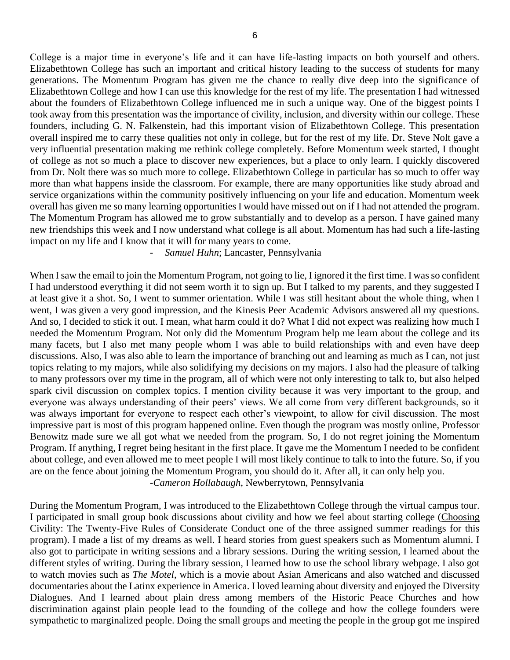College is a major time in everyone's life and it can have life-lasting impacts on both yourself and others. Elizabethtown College has such an important and critical history leading to the success of students for many generations. The Momentum Program has given me the chance to really dive deep into the significance of Elizabethtown College and how I can use this knowledge for the rest of my life. The presentation I had witnessed about the founders of Elizabethtown College influenced me in such a unique way. One of the biggest points I took away from this presentation was the importance of civility, inclusion, and diversity within our college. These founders, including G. N. Falkenstein, had this important vision of Elizabethtown College. This presentation overall inspired me to carry these qualities not only in college, but for the rest of my life. Dr. Steve Nolt gave a very influential presentation making me rethink college completely. Before Momentum week started, I thought of college as not so much a place to discover new experiences, but a place to only learn. I quickly discovered from Dr. Nolt there was so much more to college. Elizabethtown College in particular has so much to offer way more than what happens inside the classroom. For example, there are many opportunities like study abroad and service organizations within the community positively influencing on your life and education. Momentum week overall has given me so many learning opportunities I would have missed out on if I had not attended the program. The Momentum Program has allowed me to grow substantially and to develop as a person. I have gained many new friendships this week and I now understand what college is all about. Momentum has had such a life-lasting impact on my life and I know that it will for many years to come.

## *- Samuel Huhn*; Lancaster, Pennsylvania

When I saw the email to join the Momentum Program, not going to lie, I ignored it the first time. I was so confident I had understood everything it did not seem worth it to sign up. But I talked to my parents, and they suggested I at least give it a shot. So, I went to summer orientation. While I was still hesitant about the whole thing, when I went, I was given a very good impression, and the Kinesis Peer Academic Advisors answered all my questions. And so, I decided to stick it out. I mean, what harm could it do? What I did not expect was realizing how much I needed the Momentum Program. Not only did the Momentum Program help me learn about the college and its many facets, but I also met many people whom I was able to build relationships with and even have deep discussions. Also, I was also able to learn the importance of branching out and learning as much as I can, not just topics relating to my majors, while also solidifying my decisions on my majors. I also had the pleasure of talking to many professors over my time in the program, all of which were not only interesting to talk to, but also helped spark civil discussion on complex topics. I mention civility because it was very important to the group, and everyone was always understanding of their peers' views. We all come from very different backgrounds, so it was always important for everyone to respect each other's viewpoint, to allow for civil discussion. The most impressive part is most of this program happened online. Even though the program was mostly online, Professor Benowitz made sure we all got what we needed from the program. So, I do not regret joining the Momentum Program. If anything, I regret being hesitant in the first place. It gave me the Momentum I needed to be confident about college, and even allowed me to meet people I will most likely continue to talk to into the future. So, if you are on the fence about joining the Momentum Program, you should do it. After all, it can only help you. *-Cameron Hollabaugh*, Newberrytown, Pennsylvania

During the Momentum Program, I was introduced to the Elizabethtown College through the virtual campus tour. I participated in small group book discussions about civility and how we feel about starting college (Choosing Civility: The Twenty-Five Rules of Considerate Conduct one of the three assigned summer readings for this program). I made a list of my dreams as well. I heard stories from guest speakers such as Momentum alumni. I also got to participate in writing sessions and a library sessions. During the writing session, I learned about the different styles of writing. During the library session, I learned how to use the school library webpage. I also got to watch movies such as *The Motel*, which is a movie about Asian Americans and also watched and discussed documentaries about the Latinx experience in America. I loved learning about diversity and enjoyed the Diversity Dialogues. And I learned about plain dress among members of the Historic Peace Churches and how discrimination against plain people lead to the founding of the college and how the college founders were sympathetic to marginalized people. Doing the small groups and meeting the people in the group got me inspired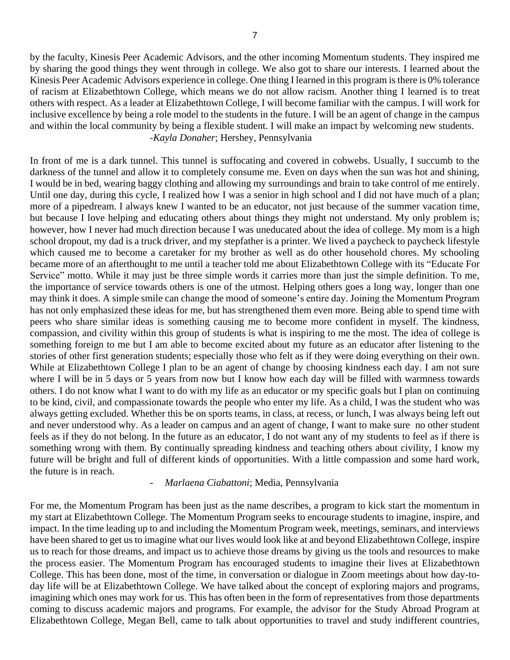by the faculty, Kinesis Peer Academic Advisors, and the other incoming Momentum students. They inspired me by sharing the good things they went through in college. We also got to share our interests. I learned about the Kinesis Peer Academic Advisors experience in college. One thing I learned in this program is there is 0% tolerance of racism at Elizabethtown College, which means we do not allow racism. Another thing I learned is to treat others with respect. As a leader at Elizabethtown College, I will become familiar with the campus. I will work for inclusive excellence by being a role model to the students in the future. I will be an agent of change in the campus and within the local community by being a flexible student. I will make an impact by welcoming new students. *-Kayla Donaher*; Hershey, Pennsylvania

In front of me is a dark tunnel. This tunnel is suffocating and covered in cobwebs. Usually, I succumb to the darkness of the tunnel and allow it to completely consume me. Even on days when the sun was hot and shining, I would be in bed, wearing baggy clothing and allowing my surroundings and brain to take control of me entirely. Until one day, during this cycle, I realized how I was a senior in high school and I did not have much of a plan; more of a pipedream. I always knew I wanted to be an educator, not just because of the summer vacation time, but because I love helping and educating others about things they might not understand. My only problem is; however, how I never had much direction because I was uneducated about the idea of college. My mom is a high school dropout, my dad is a truck driver, and my stepfather is a printer. We lived a paycheck to paycheck lifestyle which caused me to become a caretaker for my brother as well as do other household chores. My schooling became more of an afterthought to me until a teacher told me about Elizabethtown College with its "Educate For Service" motto. While it may just be three simple words it carries more than just the simple definition. To me, the importance of service towards others is one of the utmost. Helping others goes a long way, longer than one may think it does. A simple smile can change the mood of someone's entire day. Joining the Momentum Program has not only emphasized these ideas for me, but has strengthened them even more. Being able to spend time with peers who share similar ideas is something causing me to become more confident in myself. The kindness, compassion, and civility within this group of students is what is inspiring to me the most. The idea of college is something foreign to me but I am able to become excited about my future as an educator after listening to the stories of other first generation students; especially those who felt as if they were doing everything on their own. While at Elizabethtown College I plan to be an agent of change by choosing kindness each day. I am not sure where I will be in 5 days or 5 years from now but I know how each day will be filled with warmness towards others. I do not know what I want to do with my life as an educator or my specific goals but I plan on continuing to be kind, civil, and compassionate towards the people who enter my life. As a child, I was the student who was always getting excluded. Whether this be on sports teams, in class, at recess, or lunch, I was always being left out and never understood why. As a leader on campus and an agent of change, I want to make sure no other student feels as if they do not belong. In the future as an educator, I do not want any of my students to feel as if there is something wrong with them. By continually spreading kindness and teaching others about civility, I know my future will be bright and full of different kinds of opportunities. With a little compassion and some hard work, the future is in reach.

#### *- Marlaena Ciabattoni*; Media, Pennsylvania

For me, the Momentum Program has been just as the name describes, a program to kick start the momentum in my start at Elizabethtown College. The Momentum Program seeks to encourage students to imagine, inspire, and impact. In the time leading up to and including the Momentum Program week, meetings, seminars, and interviews have been shared to get us to imagine what our lives would look like at and beyond Elizabethtown College, inspire us to reach for those dreams, and impact us to achieve those dreams by giving us the tools and resources to make the process easier. The Momentum Program has encouraged students to imagine their lives at Elizabethtown College. This has been done, most of the time, in conversation or dialogue in Zoom meetings about how day-today life will be at Elizabethtown College. We have talked about the concept of exploring majors and programs, imagining which ones may work for us. This has often been in the form of representatives from those departments coming to discuss academic majors and programs. For example, the advisor for the Study Abroad Program at Elizabethtown College, Megan Bell, came to talk about opportunities to travel and study indifferent countries,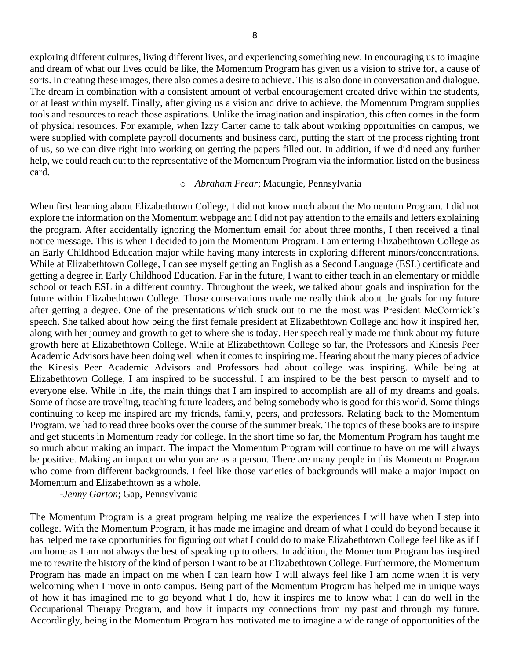exploring different cultures, living different lives, and experiencing something new. In encouraging us to imagine and dream of what our lives could be like, the Momentum Program has given us a vision to strive for, a cause of sorts. In creating these images, there also comes a desire to achieve. This is also done in conversation and dialogue. The dream in combination with a consistent amount of verbal encouragement created drive within the students, or at least within myself. Finally, after giving us a vision and drive to achieve, the Momentum Program supplies tools and resources to reach those aspirations. Unlike the imagination and inspiration, this often comes in the form of physical resources. For example, when Izzy Carter came to talk about working opportunities on campus, we were supplied with complete payroll documents and business card, putting the start of the process righting front of us, so we can dive right into working on getting the papers filled out. In addition, if we did need any further help, we could reach out to the representative of the Momentum Program via the information listed on the business card.

## o *Abraham Frear*; Macungie, Pennsylvania

When first learning about Elizabethtown College, I did not know much about the Momentum Program. I did not explore the information on the Momentum webpage and I did not pay attention to the emails and letters explaining the program. After accidentally ignoring the Momentum email for about three months, I then received a final notice message. This is when I decided to join the Momentum Program. I am entering Elizabethtown College as an Early Childhood Education major while having many interests in exploring different minors/concentrations. While at Elizabethtown College, I can see myself getting an English as a Second Language (ESL) certificate and getting a degree in Early Childhood Education. Far in the future, I want to either teach in an elementary or middle school or teach ESL in a different country. Throughout the week, we talked about goals and inspiration for the future within Elizabethtown College. Those conservations made me really think about the goals for my future after getting a degree. One of the presentations which stuck out to me the most was President McCormick's speech. She talked about how being the first female president at Elizabethtown College and how it inspired her, along with her journey and growth to get to where she is today. Her speech really made me think about my future growth here at Elizabethtown College. While at Elizabethtown College so far, the Professors and Kinesis Peer Academic Advisors have been doing well when it comes to inspiring me. Hearing about the many pieces of advice the Kinesis Peer Academic Advisors and Professors had about college was inspiring. While being at Elizabethtown College, I am inspired to be successful. I am inspired to be the best person to myself and to everyone else. While in life, the main things that I am inspired to accomplish are all of my dreams and goals. Some of those are traveling, teaching future leaders, and being somebody who is good for this world. Some things continuing to keep me inspired are my friends, family, peers, and professors. Relating back to the Momentum Program, we had to read three books over the course of the summer break. The topics of these books are to inspire and get students in Momentum ready for college. In the short time so far, the Momentum Program has taught me so much about making an impact. The impact the Momentum Program will continue to have on me will always be positive. Making an impact on who you are as a person. There are many people in this Momentum Program who come from different backgrounds. I feel like those varieties of backgrounds will make a major impact on Momentum and Elizabethtown as a whole.

-*Jenny Garton*; Gap, Pennsylvania

The Momentum Program is a great program helping me realize the experiences I will have when I step into college. With the Momentum Program, it has made me imagine and dream of what I could do beyond because it has helped me take opportunities for figuring out what I could do to make Elizabethtown College feel like as if I am home as I am not always the best of speaking up to others. In addition, the Momentum Program has inspired me to rewrite the history of the kind of person I want to be at Elizabethtown College. Furthermore, the Momentum Program has made an impact on me when I can learn how I will always feel like I am home when it is very welcoming when I move in onto campus. Being part of the Momentum Program has helped me in unique ways of how it has imagined me to go beyond what I do, how it inspires me to know what I can do well in the Occupational Therapy Program, and how it impacts my connections from my past and through my future. Accordingly, being in the Momentum Program has motivated me to imagine a wide range of opportunities of the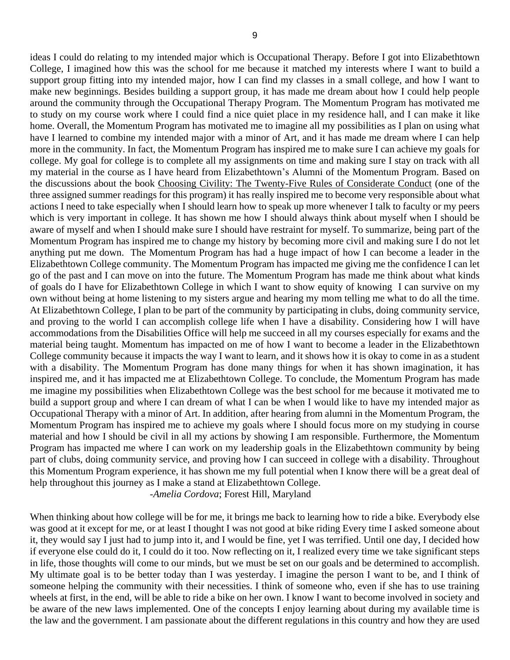ideas I could do relating to my intended major which is Occupational Therapy. Before I got into Elizabethtown College, I imagined how this was the school for me because it matched my interests where I want to build a support group fitting into my intended major, how I can find my classes in a small college, and how I want to make new beginnings. Besides building a support group, it has made me dream about how I could help people around the community through the Occupational Therapy Program. The Momentum Program has motivated me to study on my course work where I could find a nice quiet place in my residence hall, and I can make it like home. Overall, the Momentum Program has motivated me to imagine all my possibilities as I plan on using what have I learned to combine my intended major with a minor of Art, and it has made me dream where I can help more in the community. In fact, the Momentum Program has inspired me to make sure I can achieve my goals for college. My goal for college is to complete all my assignments on time and making sure I stay on track with all my material in the course as I have heard from Elizabethtown's Alumni of the Momentum Program. Based on the discussions about the book Choosing Civility: The Twenty-Five Rules of Considerate Conduct (one of the three assigned summer readings for this program) it has really inspired me to become very responsible about what actions I need to take especially when I should learn how to speak up more whenever I talk to faculty or my peers which is very important in college. It has shown me how I should always think about myself when I should be aware of myself and when I should make sure I should have restraint for myself. To summarize, being part of the Momentum Program has inspired me to change my history by becoming more civil and making sure I do not let anything put me down. The Momentum Program has had a huge impact of how I can become a leader in the Elizabethtown College community. The Momentum Program has impacted me giving me the confidence I can let go of the past and I can move on into the future. The Momentum Program has made me think about what kinds of goals do I have for Elizabethtown College in which I want to show equity of knowing I can survive on my own without being at home listening to my sisters argue and hearing my mom telling me what to do all the time. At Elizabethtown College, I plan to be part of the community by participating in clubs, doing community service, and proving to the world I can accomplish college life when I have a disability. Considering how I will have accommodations from the Disabilities Office will help me succeed in all my courses especially for exams and the material being taught. Momentum has impacted on me of how I want to become a leader in the Elizabethtown College community because it impacts the way I want to learn, and it shows how it is okay to come in as a student with a disability. The Momentum Program has done many things for when it has shown imagination, it has inspired me, and it has impacted me at Elizabethtown College. To conclude, the Momentum Program has made me imagine my possibilities when Elizabethtown College was the best school for me because it motivated me to build a support group and where I can dream of what I can be when I would like to have my intended major as Occupational Therapy with a minor of Art. In addition, after hearing from alumni in the Momentum Program, the Momentum Program has inspired me to achieve my goals where I should focus more on my studying in course material and how I should be civil in all my actions by showing I am responsible. Furthermore, the Momentum Program has impacted me where I can work on my leadership goals in the Elizabethtown community by being part of clubs, doing community service, and proving how I can succeed in college with a disability. Throughout this Momentum Program experience, it has shown me my full potential when I know there will be a great deal of help throughout this journey as I make a stand at Elizabethtown College.

-*Amelia Cordova*; Forest Hill, Maryland

When thinking about how college will be for me, it brings me back to learning how to ride a bike. Everybody else was good at it except for me, or at least I thought I was not good at bike riding Every time I asked someone about it, they would say I just had to jump into it, and I would be fine, yet I was terrified. Until one day, I decided how if everyone else could do it, I could do it too. Now reflecting on it, I realized every time we take significant steps in life, those thoughts will come to our minds, but we must be set on our goals and be determined to accomplish. My ultimate goal is to be better today than I was yesterday. I imagine the person I want to be, and I think of someone helping the community with their necessities. I think of someone who, even if she has to use training wheels at first, in the end, will be able to ride a bike on her own. I know I want to become involved in society and be aware of the new laws implemented. One of the concepts I enjoy learning about during my available time is the law and the government. I am passionate about the different regulations in this country and how they are used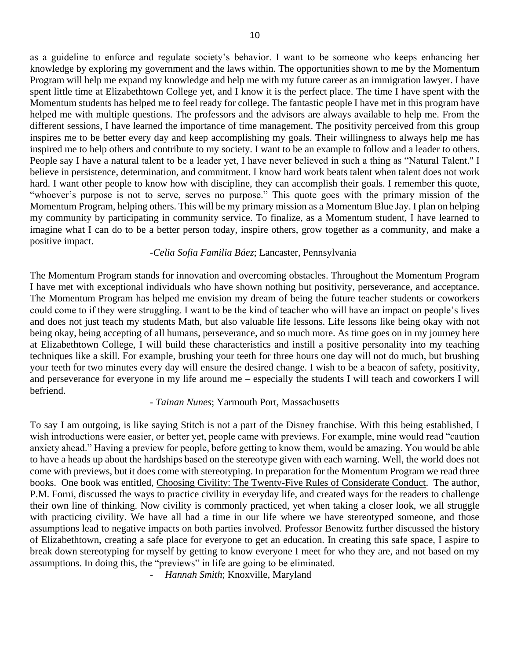as a guideline to enforce and regulate society's behavior. I want to be someone who keeps enhancing her knowledge by exploring my government and the laws within. The opportunities shown to me by the Momentum Program will help me expand my knowledge and help me with my future career as an immigration lawyer. I have spent little time at Elizabethtown College yet, and I know it is the perfect place. The time I have spent with the Momentum students has helped me to feel ready for college. The fantastic people I have met in this program have helped me with multiple questions. The professors and the advisors are always available to help me. From the different sessions, I have learned the importance of time management. The positivity perceived from this group inspires me to be better every day and keep accomplishing my goals. Their willingness to always help me has inspired me to help others and contribute to my society. I want to be an example to follow and a leader to others. People say I have a natural talent to be a leader yet, I have never believed in such a thing as "Natural Talent.'' I believe in persistence, determination, and commitment. I know hard work beats talent when talent does not work hard. I want other people to know how with discipline, they can accomplish their goals. I remember this quote, "whoever's purpose is not to serve, serves no purpose." This quote goes with the primary mission of the Momentum Program, helping others. This will be my primary mission as a Momentum Blue Jay. I plan on helping my community by participating in community service. To finalize, as a Momentum student, I have learned to imagine what I can do to be a better person today, inspire others, grow together as a community, and make a positive impact.

# *-Celia Sofia Familia Báez*; Lancaster, Pennsylvania

The Momentum Program stands for innovation and overcoming obstacles. Throughout the Momentum Program I have met with exceptional individuals who have shown nothing but positivity, perseverance, and acceptance. The Momentum Program has helped me envision my dream of being the future teacher students or coworkers could come to if they were struggling. I want to be the kind of teacher who will have an impact on people's lives and does not just teach my students Math, but also valuable life lessons. Life lessons like being okay with not being okay, being accepting of all humans, perseverance, and so much more. As time goes on in my journey here at Elizabethtown College, I will build these characteristics and instill a positive personality into my teaching techniques like a skill. For example, brushing your teeth for three hours one day will not do much, but brushing your teeth for two minutes every day will ensure the desired change. I wish to be a beacon of safety, positivity, and perseverance for everyone in my life around me – especially the students I will teach and coworkers I will befriend.

#### - *Tainan Nunes*; Yarmouth Port, Massachusetts

To say I am outgoing, is like saying Stitch is not a part of the Disney franchise. With this being established, I wish introductions were easier, or better yet, people came with previews. For example, mine would read "caution anxiety ahead." Having a preview for people, before getting to know them, would be amazing. You would be able to have a heads up about the hardships based on the stereotype given with each warning. Well, the world does not come with previews, but it does come with stereotyping. In preparation for the Momentum Program we read three books. One book was entitled, Choosing Civility: The Twenty-Five Rules of Considerate Conduct. The author, P.M. Forni, discussed the ways to practice civility in everyday life, and created ways for the readers to challenge their own line of thinking. Now civility is commonly practiced, yet when taking a closer look, we all struggle with practicing civility. We have all had a time in our life where we have stereotyped someone, and those assumptions lead to negative impacts on both parties involved. Professor Benowitz further discussed the history of Elizabethtown, creating a safe place for everyone to get an education. In creating this safe space, I aspire to break down stereotyping for myself by getting to know everyone I meet for who they are, and not based on my assumptions. In doing this, the "previews" in life are going to be eliminated.

*- Hannah Smith*; Knoxville, Maryland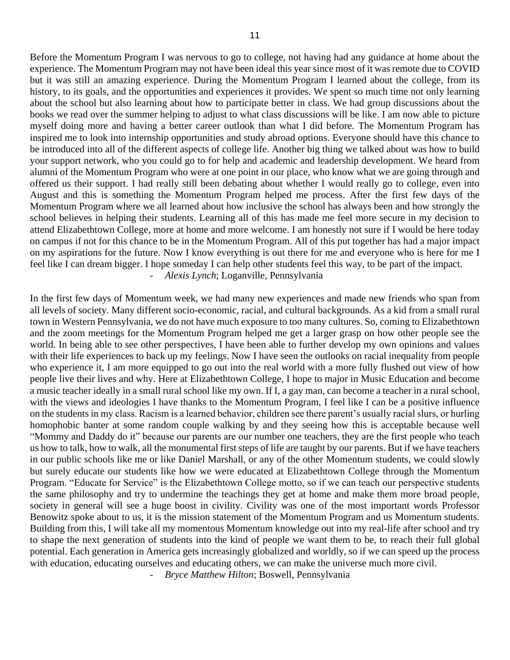Before the Momentum Program I was nervous to go to college, not having had any guidance at home about the experience. The Momentum Program may not have been ideal this year since most of it was remote due to COVID but it was still an amazing experience. During the Momentum Program I learned about the college, from its history, to its goals, and the opportunities and experiences it provides. We spent so much time not only learning about the school but also learning about how to participate better in class. We had group discussions about the books we read over the summer helping to adjust to what class discussions will be like. I am now able to picture myself doing more and having a better career outlook than what I did before. The Momentum Program has inspired me to look into internship opportunities and study abroad options. Everyone should have this chance to be introduced into all of the different aspects of college life. Another big thing we talked about was how to build your support network, who you could go to for help and academic and leadership development. We heard from alumni of the Momentum Program who were at one point in our place, who know what we are going through and offered us their support. I had really still been debating about whether I would really go to college, even into August and this is something the Momentum Program helped me process. After the first few days of the Momentum Program where we all learned about how inclusive the school has always been and how strongly the school believes in helping their students. Learning all of this has made me feel more secure in my decision to attend Elizabethtown College, more at home and more welcome. I am honestly not sure if I would be here today on campus if not for this chance to be in the Momentum Program. All of this put together has had a major impact on my aspirations for the future. Now I know everything is out there for me and everyone who is here for me I feel like I can dream bigger. I hope someday I can help other students feel this way, to be part of the impact. *- Alexis Lynch*; Loganville, Pennsylvania

In the first few days of Momentum week, we had many new experiences and made new friends who span from all levels of society. Many different socio-economic, racial, and cultural backgrounds. As a kid from a small rural town in Western Pennsylvania, we do not have much exposure to too many cultures. So, coming to Elizabethtown and the zoom meetings for the Momentum Program helped me get a larger grasp on how other people see the world. In being able to see other perspectives, I have been able to further develop my own opinions and values with their life experiences to back up my feelings. Now I have seen the outlooks on racial inequality from people who experience it, I am more equipped to go out into the real world with a more fully flushed out view of how people live their lives and why. Here at Elizabethtown College, I hope to major in Music Education and become a music teacher ideally in a small rural school like my own. If I, a gay man, can become a teacher in a rural school, with the views and ideologies I have thanks to the Momentum Program, I feel like I can be a positive influence on the students in my class. Racism is a learned behavior, children see there parent's usually racial slurs, or hurling homophobic banter at some random couple walking by and they seeing how this is acceptable because well "Mommy and Daddy do it" because our parents are our number one teachers, they are the first people who teach us how to talk, how to walk, all the monumental first steps of life are taught by our parents. But if we have teachers in our public schools like me or like Daniel Marshall, or any of the other Momentum students, we could slowly but surely educate our students like how we were educated at Elizabethtown College through the Momentum Program. "Educate for Service" is the Elizabethtown College motto, so if we can teach our perspective students the same philosophy and try to undermine the teachings they get at home and make them more broad people, society in general will see a huge boost in civility. Civility was one of the most important words Professor Benowitz spoke about to us, it is the mission statement of the Momentum Program and us Momentum students. Building from this, I will take all my momentous Momentum knowledge out into my real-life after school and try to shape the next generation of students into the kind of people we want them to be, to reach their full global potential. Each generation in America gets increasingly globalized and worldly, so if we can speed up the process with education, educating ourselves and educating others, we can make the universe much more civil.

*- Bryce Matthew Hilton*; Boswell, Pennsylvania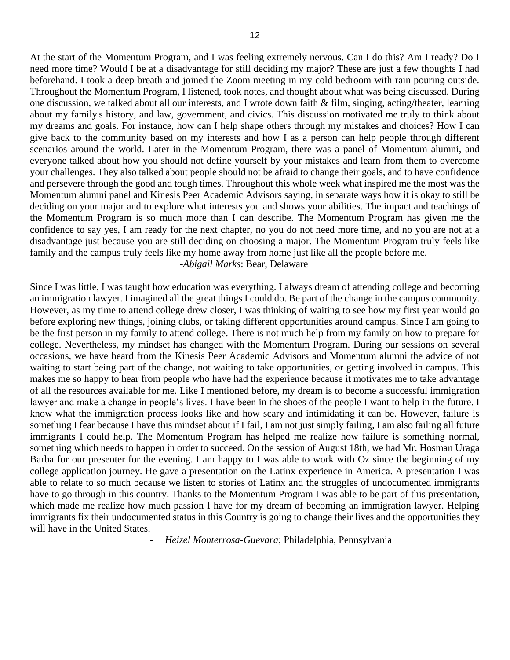At the start of the Momentum Program, and I was feeling extremely nervous. Can I do this? Am I ready? Do I need more time? Would I be at a disadvantage for still deciding my major? These are just a few thoughts I had beforehand. I took a deep breath and joined the Zoom meeting in my cold bedroom with rain pouring outside. Throughout the Momentum Program, I listened, took notes, and thought about what was being discussed. During one discussion, we talked about all our interests, and I wrote down faith & film, singing, acting/theater, learning about my family's history, and law, government, and civics. This discussion motivated me truly to think about my dreams and goals. For instance, how can I help shape others through my mistakes and choices? How I can give back to the community based on my interests and how I as a person can help people through different scenarios around the world. Later in the Momentum Program, there was a panel of Momentum alumni, and everyone talked about how you should not define yourself by your mistakes and learn from them to overcome your challenges. They also talked about people should not be afraid to change their goals, and to have confidence and persevere through the good and tough times. Throughout this whole week what inspired me the most was the Momentum alumni panel and Kinesis Peer Academic Advisors saying, in separate ways how it is okay to still be deciding on your major and to explore what interests you and shows your abilities. The impact and teachings of the Momentum Program is so much more than I can describe. The Momentum Program has given me the confidence to say yes, I am ready for the next chapter, no you do not need more time, and no you are not at a disadvantage just because you are still deciding on choosing a major. The Momentum Program truly feels like family and the campus truly feels like my home away from home just like all the people before me. -*Abigail Marks*: Bear, Delaware

Since I was little, I was taught how education was everything. I always dream of attending college and becoming an immigration lawyer. I imagined all the great things I could do. Be part of the change in the campus community. However, as my time to attend college drew closer, I was thinking of waiting to see how my first year would go before exploring new things, joining clubs, or taking different opportunities around campus. Since I am going to be the first person in my family to attend college. There is not much help from my family on how to prepare for college. Nevertheless, my mindset has changed with the Momentum Program. During our sessions on several occasions, we have heard from the Kinesis Peer Academic Advisors and Momentum alumni the advice of not waiting to start being part of the change, not waiting to take opportunities, or getting involved in campus. This makes me so happy to hear from people who have had the experience because it motivates me to take advantage of all the resources available for me. Like I mentioned before, my dream is to become a successful immigration lawyer and make a change in people's lives. I have been in the shoes of the people I want to help in the future. I know what the immigration process looks like and how scary and intimidating it can be. However, failure is something I fear because I have this mindset about if I fail, I am not just simply failing, I am also failing all future immigrants I could help. The Momentum Program has helped me realize how failure is something normal, something which needs to happen in order to succeed. On the session of August 18th, we had Mr. Hosman Uraga Barba for our presenter for the evening. I am happy to I was able to work with Oz since the beginning of my college application journey. He gave a presentation on the Latinx experience in America. A presentation I was able to relate to so much because we listen to stories of Latinx and the struggles of undocumented immigrants have to go through in this country. Thanks to the Momentum Program I was able to be part of this presentation, which made me realize how much passion I have for my dream of becoming an immigration lawyer. Helping immigrants fix their undocumented status in this Country is going to change their lives and the opportunities they will have in the United States.

*- Heizel Monterrosa-Guevara*; Philadelphia, Pennsylvania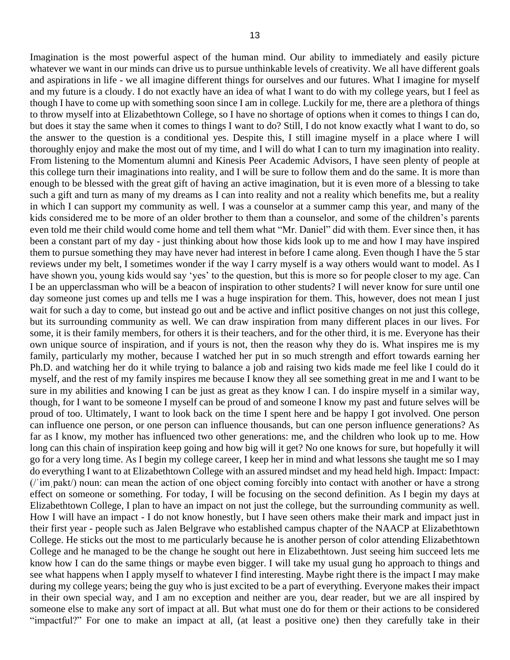Imagination is the most powerful aspect of the human mind. Our ability to immediately and easily picture whatever we want in our minds can drive us to pursue unthinkable levels of creativity. We all have different goals and aspirations in life - we all imagine different things for ourselves and our futures. What I imagine for myself and my future is a cloudy. I do not exactly have an idea of what I want to do with my college years, but I feel as though I have to come up with something soon since I am in college. Luckily for me, there are a plethora of things to throw myself into at Elizabethtown College, so I have no shortage of options when it comes to things I can do, but does it stay the same when it comes to things I want to do? Still, I do not know exactly what I want to do, so the answer to the question is a conditional yes. Despite this, I still imagine myself in a place where I will thoroughly enjoy and make the most out of my time, and I will do what I can to turn my imagination into reality. From listening to the Momentum alumni and Kinesis Peer Academic Advisors, I have seen plenty of people at this college turn their imaginations into reality, and I will be sure to follow them and do the same. It is more than enough to be blessed with the great gift of having an active imagination, but it is even more of a blessing to take such a gift and turn as many of my dreams as I can into reality and not a reality which benefits me, but a reality in which I can support my community as well. I was a counselor at a summer camp this year, and many of the kids considered me to be more of an older brother to them than a counselor, and some of the children's parents even told me their child would come home and tell them what "Mr. Daniel" did with them. Ever since then, it has been a constant part of my day - just thinking about how those kids look up to me and how I may have inspired them to pursue something they may have never had interest in before I came along. Even though I have the 5 star reviews under my belt, I sometimes wonder if the way I carry myself is a way others would want to model. As I have shown you, young kids would say 'yes' to the question, but this is more so for people closer to my age. Can I be an upperclassman who will be a beacon of inspiration to other students? I will never know for sure until one day someone just comes up and tells me I was a huge inspiration for them. This, however, does not mean I just wait for such a day to come, but instead go out and be active and inflict positive changes on not just this college, but its surrounding community as well. We can draw inspiration from many different places in our lives. For some, it is their family members, for others it is their teachers, and for the other third, it is me. Everyone has their own unique source of inspiration, and if yours is not, then the reason why they do is. What inspires me is my family, particularly my mother, because I watched her put in so much strength and effort towards earning her Ph.D. and watching her do it while trying to balance a job and raising two kids made me feel like I could do it myself, and the rest of my family inspires me because I know they all see something great in me and I want to be sure in my abilities and knowing I can be just as great as they know I can. I do inspire myself in a similar way, though, for I want to be someone I myself can be proud of and someone I know my past and future selves will be proud of too. Ultimately, I want to look back on the time I spent here and be happy I got involved. One person can influence one person, or one person can influence thousands, but can one person influence generations? As far as I know, my mother has influenced two other generations: me, and the children who look up to me. How long can this chain of inspiration keep going and how big will it get? No one knows for sure, but hopefully it will go for a very long time. As I begin my college career, I keep her in mind and what lessons she taught me so I may do everything I want to at Elizabethtown College with an assured mindset and my head held high. Impact: Impact: (/ˈimˌpakt/) noun: can mean the action of one object coming forcibly into contact with another or have a strong effect on someone or something. For today, I will be focusing on the second definition. As I begin my days at Elizabethtown College, I plan to have an impact on not just the college, but the surrounding community as well. How I will have an impact - I do not know honestly, but I have seen others make their mark and impact just in their first year - people such as Jalen Belgrave who established campus chapter of the NAACP at Elizabethtown College. He sticks out the most to me particularly because he is another person of color attending Elizabethtown College and he managed to be the change he sought out here in Elizabethtown. Just seeing him succeed lets me know how I can do the same things or maybe even bigger. I will take my usual gung ho approach to things and see what happens when I apply myself to whatever I find interesting. Maybe right there is the impact I may make during my college years; being the guy who is just excited to be a part of everything. Everyone makes their impact

in their own special way, and I am no exception and neither are you, dear reader, but we are all inspired by someone else to make any sort of impact at all. But what must one do for them or their actions to be considered "impactful?" For one to make an impact at all, (at least a positive one) then they carefully take in their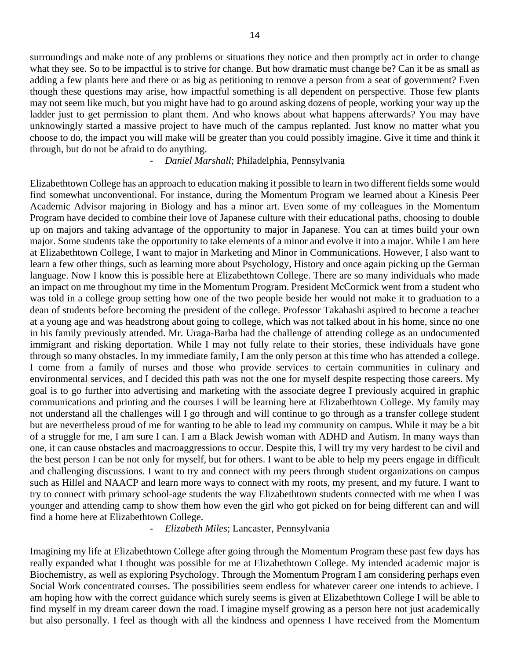surroundings and make note of any problems or situations they notice and then promptly act in order to change what they see. So to be impactful is to strive for change. But how dramatic must change be? Can it be as small as adding a few plants here and there or as big as petitioning to remove a person from a seat of government? Even though these questions may arise, how impactful something is all dependent on perspective. Those few plants may not seem like much, but you might have had to go around asking dozens of people, working your way up the ladder just to get permission to plant them. And who knows about what happens afterwards? You may have unknowingly started a massive project to have much of the campus replanted. Just know no matter what you choose to do, the impact you will make will be greater than you could possibly imagine. Give it time and think it through, but do not be afraid to do anything.

*- Daniel Marshall*; Philadelphia, Pennsylvania

Elizabethtown College has an approach to education making it possible to learn in two different fields some would find somewhat unconventional. For instance, during the Momentum Program we learned about a Kinesis Peer Academic Advisor majoring in Biology and has a minor art. Even some of my colleagues in the Momentum Program have decided to combine their love of Japanese culture with their educational paths, choosing to double up on majors and taking advantage of the opportunity to major in Japanese. You can at times build your own major. Some students take the opportunity to take elements of a minor and evolve it into a major. While I am here at Elizabethtown College, I want to major in Marketing and Minor in Communications. However, I also want to learn a few other things, such as learning more about Psychology, History and once again picking up the German language. Now I know this is possible here at Elizabethtown College. There are so many individuals who made an impact on me throughout my time in the Momentum Program. President McCormick went from a student who was told in a college group setting how one of the two people beside her would not make it to graduation to a dean of students before becoming the president of the college. Professor Takahashi aspired to become a teacher at a young age and was headstrong about going to college, which was not talked about in his home, since no one in his family previously attended. Mr. Uraga-Barba had the challenge of attending college as an undocumented immigrant and risking deportation. While I may not fully relate to their stories, these individuals have gone through so many obstacles. In my immediate family, I am the only person at this time who has attended a college. I come from a family of nurses and those who provide services to certain communities in culinary and environmental services, and I decided this path was not the one for myself despite respecting those careers. My goal is to go further into advertising and marketing with the associate degree I previously acquired in graphic communications and printing and the courses I will be learning here at Elizabethtown College. My family may not understand all the challenges will I go through and will continue to go through as a transfer college student but are nevertheless proud of me for wanting to be able to lead my community on campus. While it may be a bit of a struggle for me, I am sure I can. I am a Black Jewish woman with ADHD and Autism. In many ways than one, it can cause obstacles and macroaggressions to occur. Despite this, I will try my very hardest to be civil and the best person I can be not only for myself, but for others. I want to be able to help my peers engage in difficult and challenging discussions. I want to try and connect with my peers through student organizations on campus such as Hillel and NAACP and learn more ways to connect with my roots, my present, and my future. I want to try to connect with primary school-age students the way Elizabethtown students connected with me when I was younger and attending camp to show them how even the girl who got picked on for being different can and will find a home here at Elizabethtown College.

*- Elizabeth Miles*; Lancaster, Pennsylvania

Imagining my life at Elizabethtown College after going through the Momentum Program these past few days has really expanded what I thought was possible for me at Elizabethtown College. My intended academic major is Biochemistry, as well as exploring Psychology. Through the Momentum Program I am considering perhaps even Social Work concentrated courses. The possibilities seem endless for whatever career one intends to achieve. I am hoping how with the correct guidance which surely seems is given at Elizabethtown College I will be able to find myself in my dream career down the road. I imagine myself growing as a person here not just academically but also personally. I feel as though with all the kindness and openness I have received from the Momentum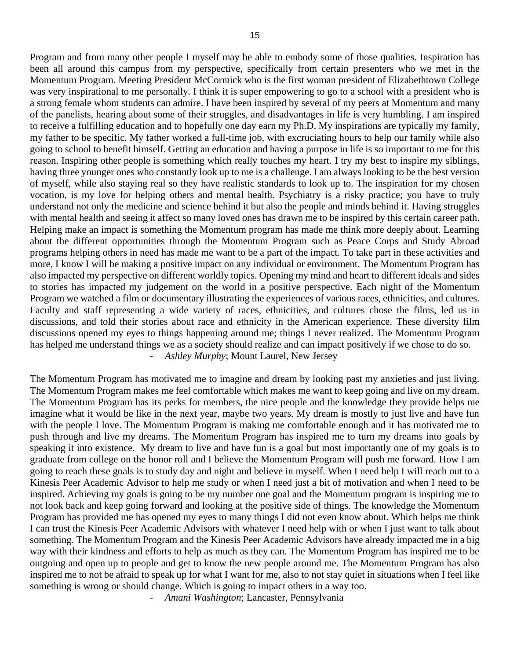Program and from many other people I myself may be able to embody some of those qualities. Inspiration has been all around this campus from my perspective, specifically from certain presenters who we met in the Momentum Program. Meeting President McCormick who is the first woman president of Elizabethtown College was very inspirational to me personally. I think it is super empowering to go to a school with a president who is a strong female whom students can admire. I have been inspired by several of my peers at Momentum and many of the panelists, hearing about some of their struggles, and disadvantages in life is very humbling. I am inspired to receive a fulfilling education and to hopefully one day earn my Ph.D. My inspirations are typically my family, my father to be specific. My father worked a full-time job, with excruciating hours to help our family while also going to school to benefit himself. Getting an education and having a purpose in life is so important to me for this reason. Inspiring other people is something which really touches my heart. I try my best to inspire my siblings, having three younger ones who constantly look up to me is a challenge. I am always looking to be the best version of myself, while also staying real so they have realistic standards to look up to. The inspiration for my chosen vocation, is my love for helping others and mental health. Psychiatry is a risky practice; you have to truly understand not only the medicine and science behind it but also the people and minds behind it. Having struggles with mental health and seeing it affect so many loved ones has drawn me to be inspired by this certain career path. Helping make an impact is something the Momentum program has made me think more deeply about. Learning about the different opportunities through the Momentum Program such as Peace Corps and Study Abroad programs helping others in need has made me want to be a part of the impact. To take part in these activities and more, I know I will be making a positive impact on any individual or environment. The Momentum Program has also impacted my perspective on different worldly topics. Opening my mind and heart to different ideals and sides to stories has impacted my judgement on the world in a positive perspective. Each night of the Momentum Program we watched a film or documentary illustrating the experiences of various races, ethnicities, and cultures. Faculty and staff representing a wide variety of races, ethnicities, and cultures chose the films, led us in discussions, and told their stories about race and ethnicity in the American experience. These diversity film discussions opened my eyes to things happening around me; things I never realized. The Momentum Program has helped me understand things we as a society should realize and can impact positively if we chose to do so. *- Ashley Murphy*; Mount Laurel, New Jersey

The Momentum Program has motivated me to imagine and dream by looking past my anxieties and just living. The Momentum Program makes me feel comfortable which makes me want to keep going and live on my dream. The Momentum Program has its perks for members, the nice people and the knowledge they provide helps me imagine what it would be like in the next year, maybe two years. My dream is mostly to just live and have fun with the people I love. The Momentum Program is making me comfortable enough and it has motivated me to push through and live my dreams. The Momentum Program has inspired me to turn my dreams into goals by speaking it into existence. My dream to live and have fun is a goal but most importantly one of my goals is to graduate from college on the honor roll and I believe the Momentum Program will push me forward. How I am going to reach these goals is to study day and night and believe in myself. When I need help I will reach out to a Kinesis Peer Academic Advisor to help me study or when I need just a bit of motivation and when I need to be inspired. Achieving my goals is going to be my number one goal and the Momentum program is inspiring me to not look back and keep going forward and looking at the positive side of things. The knowledge the Momentum Program has provided me has opened my eyes to many things I did not even know about. Which helps me think I can trust the Kinesis Peer Academic Advisors with whatever I need help with or when I just want to talk about something. The Momentum Program and the Kinesis Peer Academic Advisors have already impacted me in a big way with their kindness and efforts to help as much as they can. The Momentum Program has inspired me to be outgoing and open up to people and get to know the new people around me. The Momentum Program has also inspired me to not be afraid to speak up for what I want for me, also to not stay quiet in situations when I feel like something is wrong or should change. Which is going to impact others in a way too.

*- Amani Washington*; Lancaster, Pennsylvania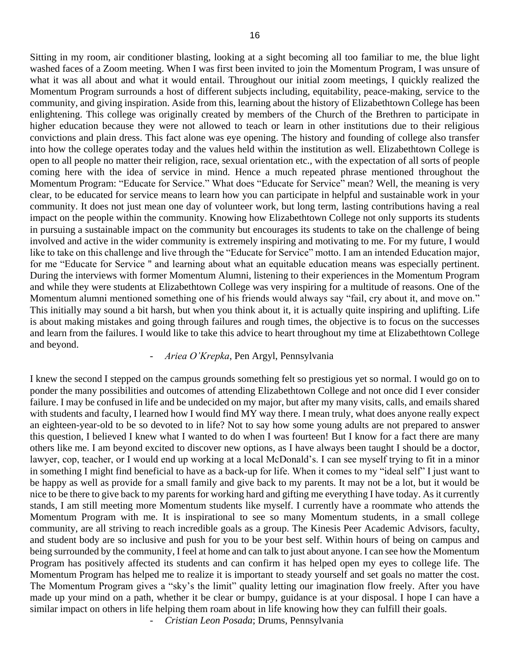Sitting in my room, air conditioner blasting, looking at a sight becoming all too familiar to me, the blue light washed faces of a Zoom meeting. When I was first been invited to join the Momentum Program, I was unsure of what it was all about and what it would entail. Throughout our initial zoom meetings, I quickly realized the Momentum Program surrounds a host of different subjects including, equitability, peace-making, service to the community, and giving inspiration. Aside from this, learning about the history of Elizabethtown College has been enlightening. This college was originally created by members of the Church of the Brethren to participate in higher education because they were not allowed to teach or learn in other institutions due to their religious convictions and plain dress. This fact alone was eye opening. The history and founding of college also transfer into how the college operates today and the values held within the institution as well. Elizabethtown College is open to all people no matter their religion, race, sexual orientation etc., with the expectation of all sorts of people coming here with the idea of service in mind. Hence a much repeated phrase mentioned throughout the Momentum Program: "Educate for Service." What does "Educate for Service" mean? Well, the meaning is very clear, to be educated for service means to learn how you can participate in helpful and sustainable work in your community. It does not just mean one day of volunteer work, but long term, lasting contributions having a real impact on the people within the community. Knowing how Elizabethtown College not only supports its students in pursuing a sustainable impact on the community but encourages its students to take on the challenge of being involved and active in the wider community is extremely inspiring and motivating to me. For my future, I would like to take on this challenge and live through the "Educate for Service" motto. I am an intended Education major, for me "Educate for Service '' and learning about what an equitable education means was especially pertinent. During the interviews with former Momentum Alumni, listening to their experiences in the Momentum Program and while they were students at Elizabethtown College was very inspiring for a multitude of reasons. One of the Momentum alumni mentioned something one of his friends would always say "fail, cry about it, and move on." This initially may sound a bit harsh, but when you think about it, it is actually quite inspiring and uplifting. Life is about making mistakes and going through failures and rough times, the objective is to focus on the successes and learn from the failures. I would like to take this advice to heart throughout my time at Elizabethtown College and beyond.

#### *- Ariea O'Krepka*, Pen Argyl, Pennsylvania

I knew the second I stepped on the campus grounds something felt so prestigious yet so normal. I would go on to ponder the many possibilities and outcomes of attending Elizabethtown College and not once did I ever consider failure. I may be confused in life and be undecided on my major, but after my many visits, calls, and emails shared with students and faculty, I learned how I would find MY way there. I mean truly, what does anyone really expect an eighteen-year-old to be so devoted to in life? Not to say how some young adults are not prepared to answer this question, I believed I knew what I wanted to do when I was fourteen! But I know for a fact there are many others like me. I am beyond excited to discover new options, as I have always been taught I should be a doctor, lawyer, cop, teacher, or I would end up working at a local McDonald's. I can see myself trying to fit in a minor in something I might find beneficial to have as a back-up for life. When it comes to my "ideal self" I just want to be happy as well as provide for a small family and give back to my parents. It may not be a lot, but it would be nice to be there to give back to my parents for working hard and gifting me everything I have today. As it currently stands, I am still meeting more Momentum students like myself. I currently have a roommate who attends the Momentum Program with me. It is inspirational to see so many Momentum students, in a small college community, are all striving to reach incredible goals as a group. The Kinesis Peer Academic Advisors, faculty, and student body are so inclusive and push for you to be your best self. Within hours of being on campus and being surrounded by the community, I feel at home and can talk to just about anyone. I can see how the Momentum Program has positively affected its students and can confirm it has helped open my eyes to college life. The Momentum Program has helped me to realize it is important to steady yourself and set goals no matter the cost. The Momentum Program gives a "sky's the limit" quality letting our imagination flow freely. After you have made up your mind on a path, whether it be clear or bumpy, guidance is at your disposal. I hope I can have a similar impact on others in life helping them roam about in life knowing how they can fulfill their goals.

*- Cristian Leon Posada*; Drums, Pennsylvania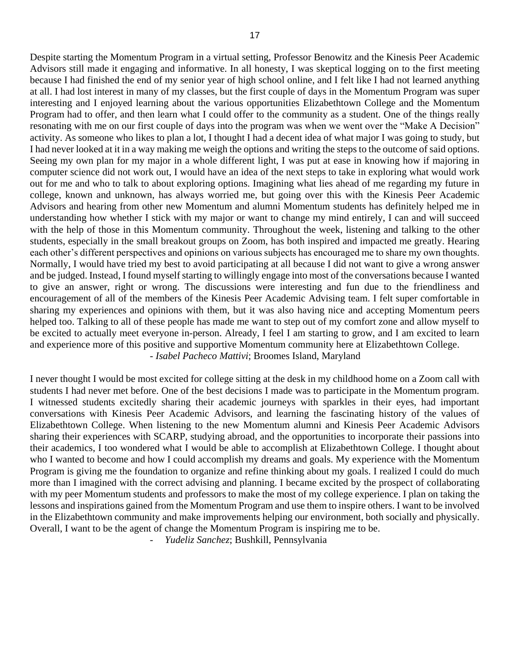Despite starting the Momentum Program in a virtual setting, Professor Benowitz and the Kinesis Peer Academic Advisors still made it engaging and informative. In all honesty, I was skeptical logging on to the first meeting because I had finished the end of my senior year of high school online, and I felt like I had not learned anything at all. I had lost interest in many of my classes, but the first couple of days in the Momentum Program was super interesting and I enjoyed learning about the various opportunities Elizabethtown College and the Momentum Program had to offer, and then learn what I could offer to the community as a student. One of the things really resonating with me on our first couple of days into the program was when we went over the "Make A Decision" activity. As someone who likes to plan a lot, I thought I had a decent idea of what major I was going to study, but I had never looked at it in a way making me weigh the options and writing the steps to the outcome of said options. Seeing my own plan for my major in a whole different light, I was put at ease in knowing how if majoring in computer science did not work out, I would have an idea of the next steps to take in exploring what would work out for me and who to talk to about exploring options. Imagining what lies ahead of me regarding my future in college, known and unknown, has always worried me, but going over this with the Kinesis Peer Academic Advisors and hearing from other new Momentum and alumni Momentum students has definitely helped me in understanding how whether I stick with my major or want to change my mind entirely, I can and will succeed with the help of those in this Momentum community. Throughout the week, listening and talking to the other students, especially in the small breakout groups on Zoom, has both inspired and impacted me greatly. Hearing each other's different perspectives and opinions on various subjects has encouraged me to share my own thoughts. Normally, I would have tried my best to avoid participating at all because I did not want to give a wrong answer and be judged. Instead, I found myself starting to willingly engage into most of the conversations because I wanted to give an answer, right or wrong. The discussions were interesting and fun due to the friendliness and encouragement of all of the members of the Kinesis Peer Academic Advising team. I felt super comfortable in sharing my experiences and opinions with them, but it was also having nice and accepting Momentum peers helped too. Talking to all of these people has made me want to step out of my comfort zone and allow myself to be excited to actually meet everyone in-person. Already, I feel I am starting to grow, and I am excited to learn and experience more of this positive and supportive Momentum community here at Elizabethtown College. - *Isabel Pacheco Mattivi*; Broomes Island, Maryland

I never thought I would be most excited for college sitting at the desk in my childhood home on a Zoom call with students I had never met before. One of the best decisions I made was to participate in the Momentum program. I witnessed students excitedly sharing their academic journeys with sparkles in their eyes, had important conversations with Kinesis Peer Academic Advisors, and learning the fascinating history of the values of Elizabethtown College. When listening to the new Momentum alumni and Kinesis Peer Academic Advisors sharing their experiences with SCARP, studying abroad, and the opportunities to incorporate their passions into their academics, I too wondered what I would be able to accomplish at Elizabethtown College. I thought about who I wanted to become and how I could accomplish my dreams and goals. My experience with the Momentum Program is giving me the foundation to organize and refine thinking about my goals. I realized I could do much more than I imagined with the correct advising and planning. I became excited by the prospect of collaborating with my peer Momentum students and professors to make the most of my college experience. I plan on taking the lessons and inspirations gained from the Momentum Program and use them to inspire others. I want to be involved in the Elizabethtown community and make improvements helping our environment, both socially and physically. Overall, I want to be the agent of change the Momentum Program is inspiring me to be.

*- Yudeliz Sanchez*; Bushkill, Pennsylvania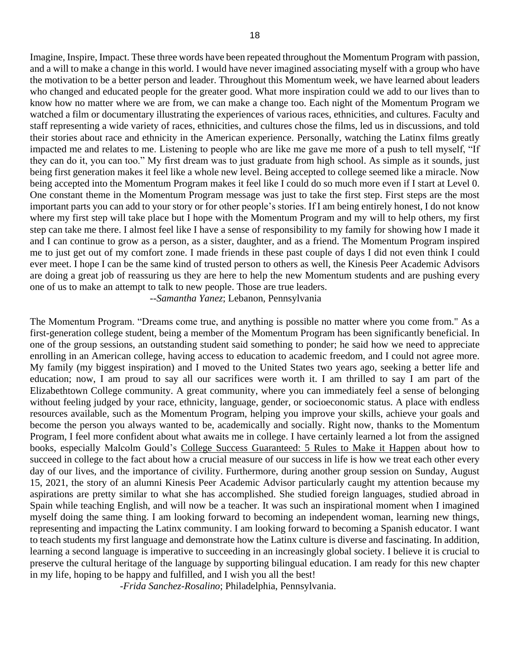18

Imagine, Inspire, Impact. These three words have been repeated throughout the Momentum Program with passion, and a will to make a change in this world. I would have never imagined associating myself with a group who have the motivation to be a better person and leader. Throughout this Momentum week, we have learned about leaders who changed and educated people for the greater good. What more inspiration could we add to our lives than to know how no matter where we are from, we can make a change too. Each night of the Momentum Program we watched a film or documentary illustrating the experiences of various races, ethnicities, and cultures. Faculty and staff representing a wide variety of races, ethnicities, and cultures chose the films, led us in discussions, and told their stories about race and ethnicity in the American experience. Personally, watching the Latinx films greatly impacted me and relates to me. Listening to people who are like me gave me more of a push to tell myself, "If they can do it, you can too." My first dream was to just graduate from high school. As simple as it sounds, just being first generation makes it feel like a whole new level. Being accepted to college seemed like a miracle. Now being accepted into the Momentum Program makes it feel like I could do so much more even if I start at Level 0. One constant theme in the Momentum Program message was just to take the first step. First steps are the most important parts you can add to your story or for other people's stories. If I am being entirely honest, I do not know where my first step will take place but I hope with the Momentum Program and my will to help others, my first step can take me there. I almost feel like I have a sense of responsibility to my family for showing how I made it and I can continue to grow as a person, as a sister, daughter, and as a friend. The Momentum Program inspired me to just get out of my comfort zone. I made friends in these past couple of days I did not even think I could ever meet. I hope I can be the same kind of trusted person to others as well, the Kinesis Peer Academic Advisors are doing a great job of reassuring us they are here to help the new Momentum students and are pushing every one of us to make an attempt to talk to new people. Those are true leaders.

--*Samantha Yanez*; Lebanon, Pennsylvania

The Momentum Program. "Dreams come true, and anything is possible no matter where you come from." As a first-generation college student, being a member of the Momentum Program has been significantly beneficial. In one of the group sessions, an outstanding student said something to ponder; he said how we need to appreciate enrolling in an American college, having access to education to academic freedom, and I could not agree more. My family (my biggest inspiration) and I moved to the United States two years ago, seeking a better life and education; now, I am proud to say all our sacrifices were worth it. I am thrilled to say I am part of the Elizabethtown College community. A great community, where you can immediately feel a sense of belonging without feeling judged by your race, ethnicity, language, gender, or socioeconomic status. A place with endless resources available, such as the Momentum Program, helping you improve your skills, achieve your goals and become the person you always wanted to be, academically and socially. Right now, thanks to the Momentum Program, I feel more confident about what awaits me in college. I have certainly learned a lot from the assigned books, especially Malcolm Gould's College Success Guaranteed: 5 Rules to Make it Happen about how to succeed in college to the fact about how a crucial measure of our success in life is how we treat each other every day of our lives, and the importance of civility. Furthermore, during another group session on Sunday, August 15, 2021, the story of an alumni Kinesis Peer Academic Advisor particularly caught my attention because my aspirations are pretty similar to what she has accomplished. She studied foreign languages, studied abroad in Spain while teaching English, and will now be a teacher. It was such an inspirational moment when I imagined myself doing the same thing. I am looking forward to becoming an independent woman, learning new things, representing and impacting the Latinx community. I am looking forward to becoming a Spanish educator. I want to teach students my first language and demonstrate how the Latinx culture is diverse and fascinating. In addition, learning a second language is imperative to succeeding in an increasingly global society. I believe it is crucial to preserve the cultural heritage of the language by supporting bilingual education. I am ready for this new chapter in my life, hoping to be happy and fulfilled, and I wish you all the best!

-*Frida Sanchez-Rosalino*; Philadelphia, Pennsylvania.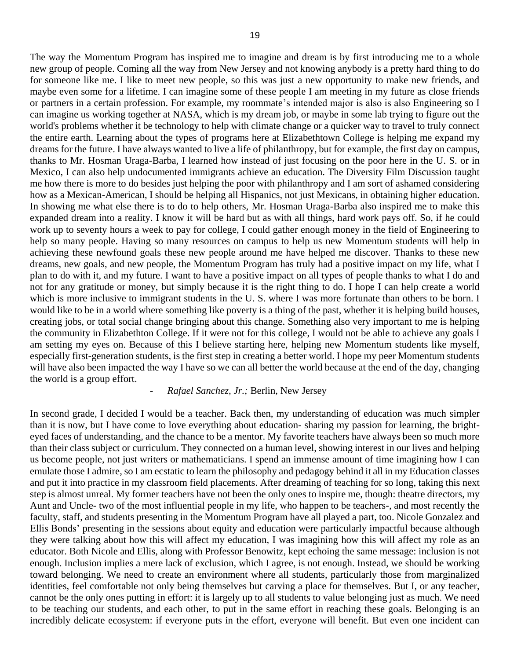The way the Momentum Program has inspired me to imagine and dream is by first introducing me to a whole new group of people. Coming all the way from New Jersey and not knowing anybody is a pretty hard thing to do for someone like me. I like to meet new people, so this was just a new opportunity to make new friends, and maybe even some for a lifetime. I can imagine some of these people I am meeting in my future as close friends or partners in a certain profession. For example, my roommate's intended major is also is also Engineering so I can imagine us working together at NASA, which is my dream job, or maybe in some lab trying to figure out the world's problems whether it be technology to help with climate change or a quicker way to travel to truly connect the entire earth. Learning about the types of programs here at Elizabethtown College is helping me expand my dreams for the future. I have always wanted to live a life of philanthropy, but for example, the first day on campus, thanks to Mr. Hosman Uraga-Barba, I learned how instead of just focusing on the poor here in the U. S. or in Mexico, I can also help undocumented immigrants achieve an education. The Diversity Film Discussion taught me how there is more to do besides just helping the poor with philanthropy and I am sort of ashamed considering how as a Mexican-American, I should be helping all Hispanics, not just Mexicans, in obtaining higher education. In showing me what else there is to do to help others, Mr. Hosman Uraga-Barba also inspired me to make this expanded dream into a reality. I know it will be hard but as with all things, hard work pays off. So, if he could work up to seventy hours a week to pay for college, I could gather enough money in the field of Engineering to help so many people. Having so many resources on campus to help us new Momentum students will help in achieving these newfound goals these new people around me have helped me discover. Thanks to these new dreams, new goals, and new people, the Momentum Program has truly had a positive impact on my life, what I plan to do with it, and my future. I want to have a positive impact on all types of people thanks to what I do and not for any gratitude or money, but simply because it is the right thing to do. I hope I can help create a world which is more inclusive to immigrant students in the U.S. where I was more fortunate than others to be born. I would like to be in a world where something like poverty is a thing of the past, whether it is helping build houses, creating jobs, or total social change bringing about this change. Something also very important to me is helping the community in Elizabethton College. If it were not for this college, I would not be able to achieve any goals I am setting my eyes on. Because of this I believe starting here, helping new Momentum students like myself, especially first-generation students, is the first step in creating a better world. I hope my peer Momentum students will have also been impacted the way I have so we can all better the world because at the end of the day, changing the world is a group effort.

## *- Rafael Sanchez, Jr.;* Berlin, New Jersey

In second grade, I decided I would be a teacher. Back then, my understanding of education was much simpler than it is now, but I have come to love everything about education- sharing my passion for learning, the brighteyed faces of understanding, and the chance to be a mentor. My favorite teachers have always been so much more than their class subject or curriculum. They connected on a human level, showing interest in our lives and helping us become people, not just writers or mathematicians. I spend an immense amount of time imagining how I can emulate those I admire, so I am ecstatic to learn the philosophy and pedagogy behind it all in my Education classes and put it into practice in my classroom field placements. After dreaming of teaching for so long, taking this next step is almost unreal. My former teachers have not been the only ones to inspire me, though: theatre directors, my Aunt and Uncle- two of the most influential people in my life, who happen to be teachers-, and most recently the faculty, staff, and students presenting in the Momentum Program have all played a part, too. Nicole Gonzalez and Ellis Bonds' presenting in the sessions about equity and education were particularly impactful because although they were talking about how this will affect my education, I was imagining how this will affect my role as an educator. Both Nicole and Ellis, along with Professor Benowitz, kept echoing the same message: inclusion is not enough. Inclusion implies a mere lack of exclusion, which I agree, is not enough. Instead, we should be working toward belonging. We need to create an environment where all students, particularly those from marginalized identities, feel comfortable not only being themselves but carving a place for themselves. But I, or any teacher, cannot be the only ones putting in effort: it is largely up to all students to value belonging just as much. We need to be teaching our students, and each other, to put in the same effort in reaching these goals. Belonging is an incredibly delicate ecosystem: if everyone puts in the effort, everyone will benefit. But even one incident can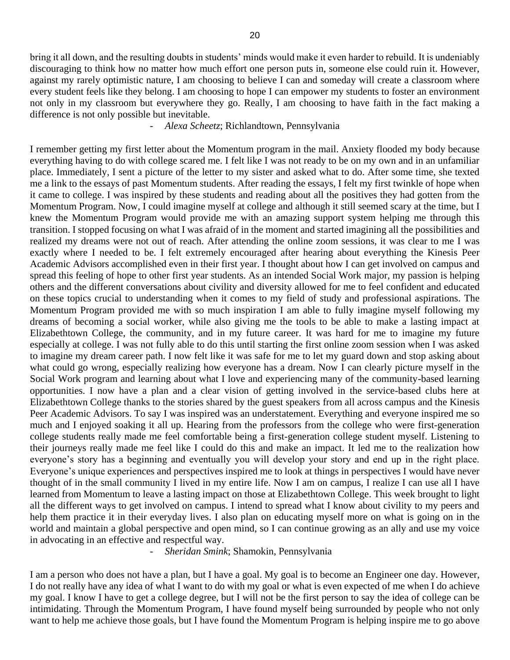bring it all down, and the resulting doubts in students' minds would make it even harder to rebuild. It is undeniably discouraging to think how no matter how much effort one person puts in, someone else could ruin it. However, against my rarely optimistic nature, I am choosing to believe I can and someday will create a classroom where every student feels like they belong. I am choosing to hope I can empower my students to foster an environment not only in my classroom but everywhere they go. Really, I am choosing to have faith in the fact making a difference is not only possible but inevitable.

*- Alexa Scheetz*; Richlandtown, Pennsylvania

I remember getting my first letter about the Momentum program in the mail. Anxiety flooded my body because everything having to do with college scared me. I felt like I was not ready to be on my own and in an unfamiliar place. Immediately, I sent a picture of the letter to my sister and asked what to do. After some time, she texted me a link to the essays of past Momentum students. After reading the essays, I felt my first twinkle of hope when it came to college. I was inspired by these students and reading about all the positives they had gotten from the Momentum Program. Now, I could imagine myself at college and although it still seemed scary at the time, but I knew the Momentum Program would provide me with an amazing support system helping me through this transition. I stopped focusing on what I was afraid of in the moment and started imagining all the possibilities and realized my dreams were not out of reach. After attending the online zoom sessions, it was clear to me I was exactly where I needed to be. I felt extremely encouraged after hearing about everything the Kinesis Peer Academic Advisors accomplished even in their first year. I thought about how I can get involved on campus and spread this feeling of hope to other first year students. As an intended Social Work major, my passion is helping others and the different conversations about civility and diversity allowed for me to feel confident and educated on these topics crucial to understanding when it comes to my field of study and professional aspirations. The Momentum Program provided me with so much inspiration I am able to fully imagine myself following my dreams of becoming a social worker, while also giving me the tools to be able to make a lasting impact at Elizabethtown College, the community, and in my future career. It was hard for me to imagine my future especially at college. I was not fully able to do this until starting the first online zoom session when I was asked to imagine my dream career path. I now felt like it was safe for me to let my guard down and stop asking about what could go wrong, especially realizing how everyone has a dream. Now I can clearly picture myself in the Social Work program and learning about what I love and experiencing many of the community-based learning opportunities. I now have a plan and a clear vision of getting involved in the service-based clubs here at Elizabethtown College thanks to the stories shared by the guest speakers from all across campus and the Kinesis Peer Academic Advisors. To say I was inspired was an understatement. Everything and everyone inspired me so much and I enjoyed soaking it all up. Hearing from the professors from the college who were first-generation college students really made me feel comfortable being a first-generation college student myself. Listening to their journeys really made me feel like I could do this and make an impact. It led me to the realization how everyone's story has a beginning and eventually you will develop your story and end up in the right place. Everyone's unique experiences and perspectives inspired me to look at things in perspectives I would have never thought of in the small community I lived in my entire life. Now I am on campus, I realize I can use all I have learned from Momentum to leave a lasting impact on those at Elizabethtown College. This week brought to light all the different ways to get involved on campus. I intend to spread what I know about civility to my peers and help them practice it in their everyday lives. I also plan on educating myself more on what is going on in the world and maintain a global perspective and open mind, so I can continue growing as an ally and use my voice in advocating in an effective and respectful way.

*- Sheridan Smink*; Shamokin, Pennsylvania

I am a person who does not have a plan, but I have a goal. My goal is to become an Engineer one day. However, I do not really have any idea of what I want to do with my goal or what is even expected of me when I do achieve my goal. I know I have to get a college degree, but I will not be the first person to say the idea of college can be intimidating. Through the Momentum Program, I have found myself being surrounded by people who not only want to help me achieve those goals, but I have found the Momentum Program is helping inspire me to go above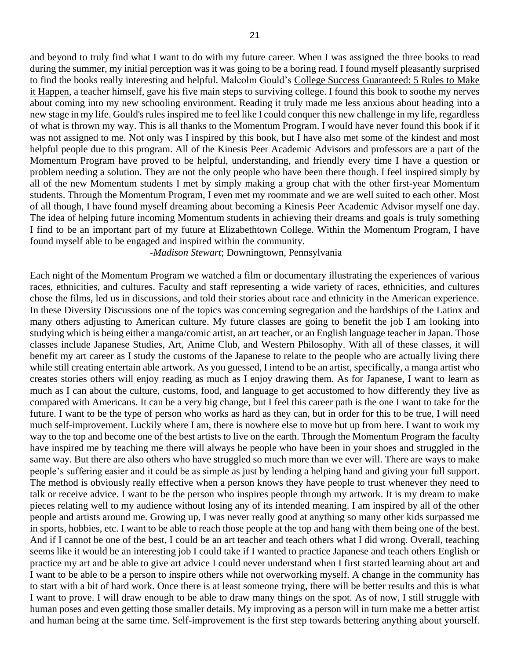and beyond to truly find what I want to do with my future career. When I was assigned the three books to read during the summer, my initial perception was it was going to be a boring read. I found myself pleasantly surprised to find the books really interesting and helpful. Malcolm Gould's College Success Guaranteed: 5 Rules to Make it Happen, a teacher himself, gave his five main steps to surviving college. I found this book to soothe my nerves about coming into my new schooling environment. Reading it truly made me less anxious about heading into a new stage in my life. Gould's rules inspired me to feel like I could conquer this new challenge in my life, regardless of what is thrown my way. This is all thanks to the Momentum Program. I would have never found this book if it was not assigned to me. Not only was I inspired by this book, but I have also met some of the kindest and most helpful people due to this program. All of the Kinesis Peer Academic Advisors and professors are a part of the Momentum Program have proved to be helpful, understanding, and friendly every time I have a question or problem needing a solution. They are not the only people who have been there though. I feel inspired simply by all of the new Momentum students I met by simply making a group chat with the other first-year Momentum students. Through the Momentum Program, I even met my roommate and we are well suited to each other. Most of all though, I have found myself dreaming about becoming a Kinesis Peer Academic Advisor myself one day. The idea of helping future incoming Momentum students in achieving their dreams and goals is truly something I find to be an important part of my future at Elizabethtown College. Within the Momentum Program, I have found myself able to be engaged and inspired within the community.

-*Madison Stewart*; Downingtown, Pennsylvania

Each night of the Momentum Program we watched a film or documentary illustrating the experiences of various races, ethnicities, and cultures. Faculty and staff representing a wide variety of races, ethnicities, and cultures chose the films, led us in discussions, and told their stories about race and ethnicity in the American experience. In these Diversity Discussions one of the topics was concerning segregation and the hardships of the Latinx and many others adjusting to American culture. My future classes are going to benefit the job I am looking into studying which is being either a manga/comic artist, an art teacher, or an English language teacher in Japan. Those classes include Japanese Studies, Art, Anime Club, and Western Philosophy. With all of these classes, it will benefit my art career as I study the customs of the Japanese to relate to the people who are actually living there while still creating entertain able artwork. As you guessed, I intend to be an artist, specifically, a manga artist who creates stories others will enjoy reading as much as I enjoy drawing them. As for Japanese, I want to learn as much as I can about the culture, customs, food, and language to get accustomed to how differently they live as compared with Americans. It can be a very big change, but I feel this career path is the one I want to take for the future. I want to be the type of person who works as hard as they can, but in order for this to be true, I will need much self-improvement. Luckily where I am, there is nowhere else to move but up from here. I want to work my way to the top and become one of the best artists to live on the earth. Through the Momentum Program the faculty have inspired me by teaching me there will always be people who have been in your shoes and struggled in the same way. But there are also others who have struggled so much more than we ever will. There are ways to make people's suffering easier and it could be as simple as just by lending a helping hand and giving your full support. The method is obviously really effective when a person knows they have people to trust whenever they need to talk or receive advice. I want to be the person who inspires people through my artwork. It is my dream to make pieces relating well to my audience without losing any of its intended meaning. I am inspired by all of the other people and artists around me. Growing up, I was never really good at anything so many other kids surpassed me in sports, hobbies, etc. I want to be able to reach those people at the top and hang with them being one of the best. And if I cannot be one of the best, I could be an art teacher and teach others what I did wrong. Overall, teaching seems like it would be an interesting job I could take if I wanted to practice Japanese and teach others English or practice my art and be able to give art advice I could never understand when I first started learning about art and I want to be able to be a person to inspire others while not overworking myself. A change in the community has to start with a bit of hard work. Once there is at least someone trying, there will be better results and this is what I want to prove. I will draw enough to be able to draw many things on the spot. As of now, I still struggle with human poses and even getting those smaller details. My improving as a person will in turn make me a better artist and human being at the same time. Self-improvement is the first step towards bettering anything about yourself.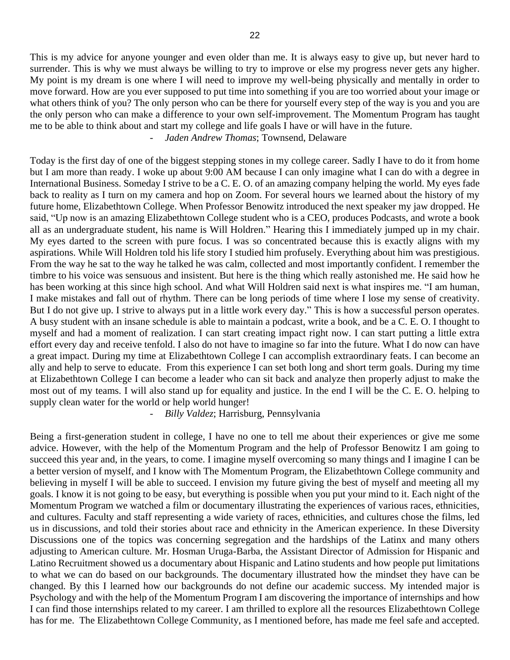This is my advice for anyone younger and even older than me. It is always easy to give up, but never hard to surrender. This is why we must always be willing to try to improve or else my progress never gets any higher. My point is my dream is one where I will need to improve my well-being physically and mentally in order to move forward. How are you ever supposed to put time into something if you are too worried about your image or what others think of you? The only person who can be there for yourself every step of the way is you and you are the only person who can make a difference to your own self-improvement. The Momentum Program has taught me to be able to think about and start my college and life goals I have or will have in the future. *- Jaden Andrew Thomas*; Townsend, Delaware

Today is the first day of one of the biggest stepping stones in my college career. Sadly I have to do it from home but I am more than ready. I woke up about 9:00 AM because I can only imagine what I can do with a degree in International Business. Someday I strive to be a C. E. O. of an amazing company helping the world. My eyes fade back to reality as I turn on my camera and hop on Zoom. For several hours we learned about the history of my future home, Elizabethtown College. When Professor Benowitz introduced the next speaker my jaw dropped. He said, "Up now is an amazing Elizabethtown College student who is a CEO, produces Podcasts, and wrote a book all as an undergraduate student, his name is Will Holdren." Hearing this I immediately jumped up in my chair. My eyes darted to the screen with pure focus. I was so concentrated because this is exactly aligns with my aspirations. While Will Holdren told his life story I studied him profusely. Everything about him was prestigious. From the way he sat to the way he talked he was calm, collected and most importantly confident. I remember the timbre to his voice was sensuous and insistent. But here is the thing which really astonished me. He said how he has been working at this since high school. And what Will Holdren said next is what inspires me. "I am human, I make mistakes and fall out of rhythm. There can be long periods of time where I lose my sense of creativity. But I do not give up. I strive to always put in a little work every day." This is how a successful person operates. A busy student with an insane schedule is able to maintain a podcast, write a book, and be a C. E. O. I thought to myself and had a moment of realization. I can start creating impact right now. I can start putting a little extra effort every day and receive tenfold. I also do not have to imagine so far into the future. What I do now can have a great impact. During my time at Elizabethtown College I can accomplish extraordinary feats. I can become an ally and help to serve to educate. From this experience I can set both long and short term goals. During my time at Elizabethtown College I can become a leader who can sit back and analyze then properly adjust to make the most out of my teams. I will also stand up for equality and justice. In the end I will be the C. E. O. helping to supply clean water for the world or help world hunger!

*- Billy Valdez*; Harrisburg, Pennsylvania

Being a first-generation student in college, I have no one to tell me about their experiences or give me some advice. However, with the help of the Momentum Program and the help of Professor Benowitz I am going to succeed this year and, in the years, to come. I imagine myself overcoming so many things and I imagine I can be a better version of myself, and I know with The Momentum Program, the Elizabethtown College community and believing in myself I will be able to succeed. I envision my future giving the best of myself and meeting all my goals. I know it is not going to be easy, but everything is possible when you put your mind to it. Each night of the Momentum Program we watched a film or documentary illustrating the experiences of various races, ethnicities, and cultures. Faculty and staff representing a wide variety of races, ethnicities, and cultures chose the films, led us in discussions, and told their stories about race and ethnicity in the American experience. In these Diversity Discussions one of the topics was concerning segregation and the hardships of the Latinx and many others adjusting to American culture. Mr. Hosman Uruga-Barba, the Assistant Director of Admission for Hispanic and Latino Recruitment showed us a documentary about Hispanic and Latino students and how people put limitations to what we can do based on our backgrounds. The documentary illustrated how the mindset they have can be changed. By this I learned how our backgrounds do not define our academic success. My intended major is Psychology and with the help of the Momentum Program I am discovering the importance of internships and how I can find those internships related to my career. I am thrilled to explore all the resources Elizabethtown College has for me. The Elizabethtown College Community, as I mentioned before, has made me feel safe and accepted.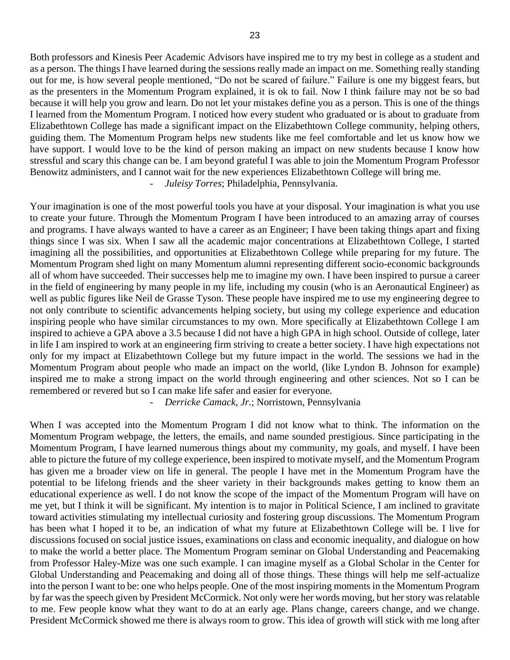Both professors and Kinesis Peer Academic Advisors have inspired me to try my best in college as a student and as a person. The things I have learned during the sessions really made an impact on me. Something really standing out for me, is how several people mentioned, "Do not be scared of failure." Failure is one my biggest fears, but as the presenters in the Momentum Program explained, it is ok to fail. Now I think failure may not be so bad because it will help you grow and learn. Do not let your mistakes define you as a person. This is one of the things I learned from the Momentum Program. I noticed how every student who graduated or is about to graduate from Elizabethtown College has made a significant impact on the Elizabethtown College community, helping others, guiding them. The Momentum Program helps new students like me feel comfortable and let us know how we have support. I would love to be the kind of person making an impact on new students because I know how stressful and scary this change can be. I am beyond grateful I was able to join the Momentum Program Professor Benowitz administers, and I cannot wait for the new experiences Elizabethtown College will bring me. *- Juleisy Torres*; Philadelphia, Pennsylvania.

Your imagination is one of the most powerful tools you have at your disposal. Your imagination is what you use to create your future. Through the Momentum Program I have been introduced to an amazing array of courses and programs. I have always wanted to have a career as an Engineer; I have been taking things apart and fixing things since I was six. When I saw all the academic major concentrations at Elizabethtown College, I started imagining all the possibilities, and opportunities at Elizabethtown College while preparing for my future. The Momentum Program shed light on many Momentum alumni representing different socio-economic backgrounds all of whom have succeeded. Their successes help me to imagine my own. I have been inspired to pursue a career in the field of engineering by many people in my life, including my cousin (who is an Aeronautical Engineer) as well as public figures like Neil de Grasse Tyson. These people have inspired me to use my engineering degree to not only contribute to scientific advancements helping society, but using my college experience and education inspiring people who have similar circumstances to my own. More specifically at Elizabethtown College I am inspired to achieve a GPA above a 3.5 because I did not have a high GPA in high school. Outside of college, later in life I am inspired to work at an engineering firm striving to create a better society. I have high expectations not only for my impact at Elizabethtown College but my future impact in the world. The sessions we had in the Momentum Program about people who made an impact on the world, (like Lyndon B. Johnson for example) inspired me to make a strong impact on the world through engineering and other sciences. Not so I can be remembered or revered but so I can make life safer and easier for everyone.

*- Derricke Camack, Jr.*; Norristown, Pennsylvania

When I was accepted into the Momentum Program I did not know what to think. The information on the Momentum Program webpage, the letters, the emails, and name sounded prestigious. Since participating in the Momentum Program, I have learned numerous things about my community, my goals, and myself. I have been able to picture the future of my college experience, been inspired to motivate myself, and the Momentum Program has given me a broader view on life in general. The people I have met in the Momentum Program have the potential to be lifelong friends and the sheer variety in their backgrounds makes getting to know them an educational experience as well. I do not know the scope of the impact of the Momentum Program will have on me yet, but I think it will be significant. My intention is to major in Political Science, I am inclined to gravitate toward activities stimulating my intellectual curiosity and fostering group discussions. The Momentum Program has been what I hoped it to be, an indication of what my future at Elizabethtown College will be. I live for discussions focused on social justice issues, examinations on class and economic inequality, and dialogue on how to make the world a better place. The Momentum Program seminar on Global Understanding and Peacemaking from Professor Haley-Mize was one such example. I can imagine myself as a Global Scholar in the Center for Global Understanding and Peacemaking and doing all of those things. These things will help me self-actualize into the person I want to be: one who helps people. One of the most inspiring moments in the Momentum Program by far was the speech given by President McCormick. Not only were her words moving, but her story was relatable to me. Few people know what they want to do at an early age. Plans change, careers change, and we change. President McCormick showed me there is always room to grow. This idea of growth will stick with me long after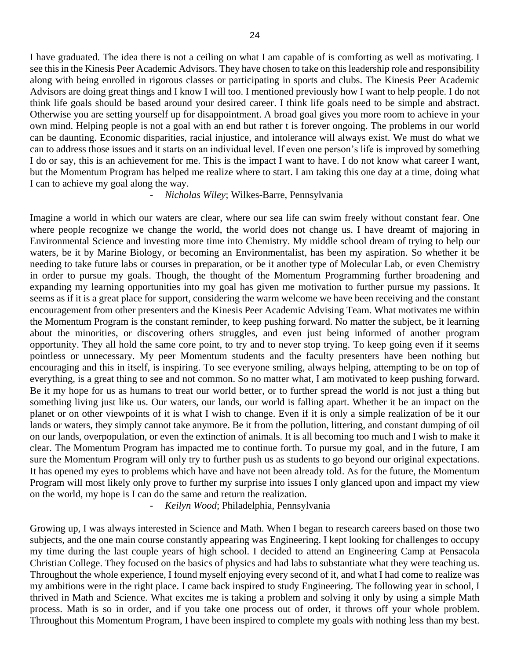I have graduated. The idea there is not a ceiling on what I am capable of is comforting as well as motivating. I see this in the Kinesis Peer Academic Advisors. They have chosen to take on this leadership role and responsibility along with being enrolled in rigorous classes or participating in sports and clubs. The Kinesis Peer Academic Advisors are doing great things and I know I will too. I mentioned previously how I want to help people. I do not think life goals should be based around your desired career. I think life goals need to be simple and abstract. Otherwise you are setting yourself up for disappointment. A broad goal gives you more room to achieve in your own mind. Helping people is not a goal with an end but rather t is forever ongoing. The problems in our world can be daunting. Economic disparities, racial injustice, and intolerance will always exist. We must do what we can to address those issues and it starts on an individual level. If even one person's life is improved by something I do or say, this is an achievement for me. This is the impact I want to have. I do not know what career I want, but the Momentum Program has helped me realize where to start. I am taking this one day at a time, doing what I can to achieve my goal along the way.

## *- Nicholas Wiley*; Wilkes-Barre, Pennsylvania

Imagine a world in which our waters are clear, where our sea life can swim freely without constant fear. One where people recognize we change the world, the world does not change us. I have dreamt of majoring in Environmental Science and investing more time into Chemistry. My middle school dream of trying to help our waters, be it by Marine Biology, or becoming an Environmentalist, has been my aspiration. So whether it be needing to take future labs or courses in preparation, or be it another type of Molecular Lab, or even Chemistry in order to pursue my goals. Though, the thought of the Momentum Programming further broadening and expanding my learning opportunities into my goal has given me motivation to further pursue my passions. It seems as if it is a great place for support, considering the warm welcome we have been receiving and the constant encouragement from other presenters and the Kinesis Peer Academic Advising Team. What motivates me within the Momentum Program is the constant reminder, to keep pushing forward. No matter the subject, be it learning about the minorities, or discovering others struggles, and even just being informed of another program opportunity. They all hold the same core point, to try and to never stop trying. To keep going even if it seems pointless or unnecessary. My peer Momentum students and the faculty presenters have been nothing but encouraging and this in itself, is inspiring. To see everyone smiling, always helping, attempting to be on top of everything, is a great thing to see and not common. So no matter what, I am motivated to keep pushing forward. Be it my hope for us as humans to treat our world better, or to further spread the world is not just a thing but something living just like us. Our waters, our lands, our world is falling apart. Whether it be an impact on the planet or on other viewpoints of it is what I wish to change. Even if it is only a simple realization of be it our lands or waters, they simply cannot take anymore. Be it from the pollution, littering, and constant dumping of oil on our lands, overpopulation, or even the extinction of animals. It is all becoming too much and I wish to make it clear. The Momentum Program has impacted me to continue forth. To pursue my goal, and in the future, I am sure the Momentum Program will only try to further push us as students to go beyond our original expectations. It has opened my eyes to problems which have and have not been already told. As for the future, the Momentum Program will most likely only prove to further my surprise into issues I only glanced upon and impact my view on the world, my hope is I can do the same and return the realization.

*- Keilyn Wood*; Philadelphia, Pennsylvania

Growing up, I was always interested in Science and Math. When I began to research careers based on those two subjects, and the one main course constantly appearing was Engineering. I kept looking for challenges to occupy my time during the last couple years of high school. I decided to attend an Engineering Camp at Pensacola Christian College. They focused on the basics of physics and had labs to substantiate what they were teaching us. Throughout the whole experience, I found myself enjoying every second of it, and what I had come to realize was my ambitions were in the right place. I came back inspired to study Engineering. The following year in school, I thrived in Math and Science. What excites me is taking a problem and solving it only by using a simple Math process. Math is so in order, and if you take one process out of order, it throws off your whole problem. Throughout this Momentum Program, I have been inspired to complete my goals with nothing less than my best.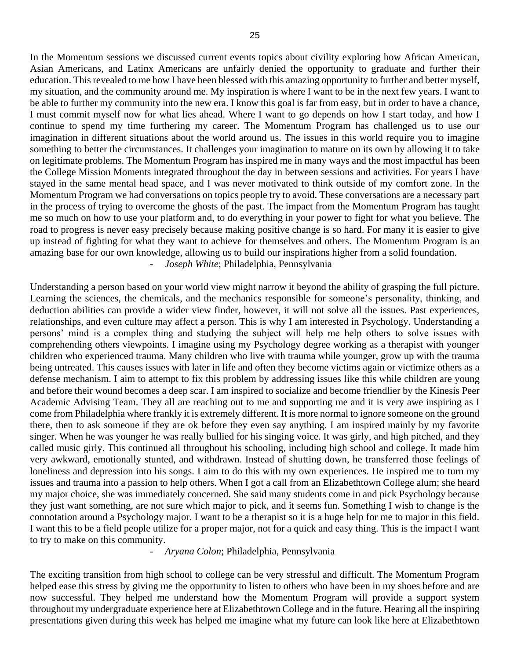In the Momentum sessions we discussed current events topics about civility exploring how African American, Asian Americans, and Latinx Americans are unfairly denied the opportunity to graduate and further their education. This revealed to me how I have been blessed with this amazing opportunity to further and better myself, my situation, and the community around me. My inspiration is where I want to be in the next few years. I want to be able to further my community into the new era. I know this goal is far from easy, but in order to have a chance, I must commit myself now for what lies ahead. Where I want to go depends on how I start today, and how I continue to spend my time furthering my career. The Momentum Program has challenged us to use our imagination in different situations about the world around us. The issues in this world require you to imagine something to better the circumstances. It challenges your imagination to mature on its own by allowing it to take on legitimate problems. The Momentum Program has inspired me in many ways and the most impactful has been the College Mission Moments integrated throughout the day in between sessions and activities. For years I have stayed in the same mental head space, and I was never motivated to think outside of my comfort zone. In the Momentum Program we had conversations on topics people try to avoid. These conversations are a necessary part in the process of trying to overcome the ghosts of the past. The impact from the Momentum Program has taught me so much on how to use your platform and, to do everything in your power to fight for what you believe. The road to progress is never easy precisely because making positive change is so hard. For many it is easier to give up instead of fighting for what they want to achieve for themselves and others. The Momentum Program is an amazing base for our own knowledge, allowing us to build our inspirations higher from a solid foundation. *- Joseph White*; Philadelphia, Pennsylvania

Understanding a person based on your world view might narrow it beyond the ability of grasping the full picture. Learning the sciences, the chemicals, and the mechanics responsible for someone's personality, thinking, and deduction abilities can provide a wider view finder, however, it will not solve all the issues. Past experiences, relationships, and even culture may affect a person. This is why I am interested in Psychology. Understanding a persons' mind is a complex thing and studying the subject will help me help others to solve issues with comprehending others viewpoints. I imagine using my Psychology degree working as a therapist with younger children who experienced trauma. Many children who live with trauma while younger, grow up with the trauma being untreated. This causes issues with later in life and often they become victims again or victimize others as a defense mechanism. I aim to attempt to fix this problem by addressing issues like this while children are young and before their wound becomes a deep scar. I am inspired to socialize and become friendlier by the Kinesis Peer Academic Advising Team. They all are reaching out to me and supporting me and it is very awe inspiring as I come from Philadelphia where frankly it is extremely different. It is more normal to ignore someone on the ground there, then to ask someone if they are ok before they even say anything. I am inspired mainly by my favorite singer. When he was younger he was really bullied for his singing voice. It was girly, and high pitched, and they called music girly. This continued all throughout his schooling, including high school and college. It made him very awkward, emotionally stunted, and withdrawn. Instead of shutting down, he transferred those feelings of loneliness and depression into his songs. I aim to do this with my own experiences. He inspired me to turn my issues and trauma into a passion to help others. When I got a call from an Elizabethtown College alum; she heard my major choice, she was immediately concerned. She said many students come in and pick Psychology because they just want something, are not sure which major to pick, and it seems fun. Something I wish to change is the connotation around a Psychology major. I want to be a therapist so it is a huge help for me to major in this field. I want this to be a field people utilize for a proper major, not for a quick and easy thing. This is the impact I want to try to make on this community.

#### *- Aryana Colon*; Philadelphia, Pennsylvania

The exciting transition from high school to college can be very stressful and difficult. The Momentum Program helped ease this stress by giving me the opportunity to listen to others who have been in my shoes before and are now successful. They helped me understand how the Momentum Program will provide a support system throughout my undergraduate experience here at Elizabethtown College and in the future. Hearing all the inspiring presentations given during this week has helped me imagine what my future can look like here at Elizabethtown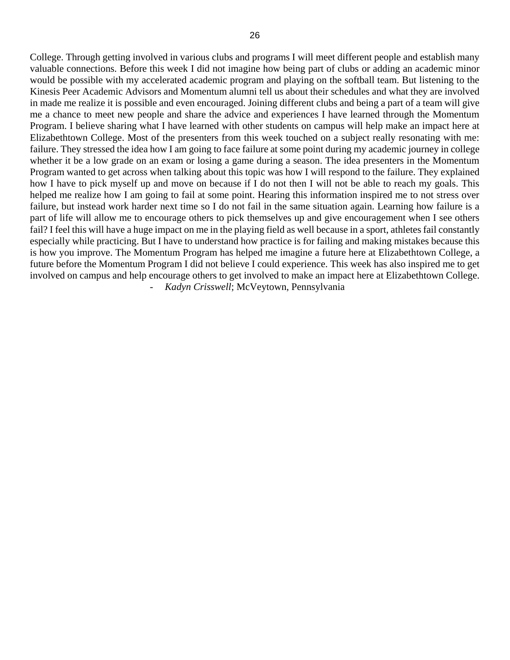College. Through getting involved in various clubs and programs I will meet different people and establish many valuable connections. Before this week I did not imagine how being part of clubs or adding an academic minor would be possible with my accelerated academic program and playing on the softball team. But listening to the Kinesis Peer Academic Advisors and Momentum alumni tell us about their schedules and what they are involved in made me realize it is possible and even encouraged. Joining different clubs and being a part of a team will give me a chance to meet new people and share the advice and experiences I have learned through the Momentum Program. I believe sharing what I have learned with other students on campus will help make an impact here at Elizabethtown College. Most of the presenters from this week touched on a subject really resonating with me: failure. They stressed the idea how I am going to face failure at some point during my academic journey in college whether it be a low grade on an exam or losing a game during a season. The idea presenters in the Momentum Program wanted to get across when talking about this topic was how I will respond to the failure. They explained how I have to pick myself up and move on because if I do not then I will not be able to reach my goals. This helped me realize how I am going to fail at some point. Hearing this information inspired me to not stress over failure, but instead work harder next time so I do not fail in the same situation again. Learning how failure is a part of life will allow me to encourage others to pick themselves up and give encouragement when I see others fail? I feel this will have a huge impact on me in the playing field as well because in a sport, athletes fail constantly especially while practicing. But I have to understand how practice is for failing and making mistakes because this is how you improve. The Momentum Program has helped me imagine a future here at Elizabethtown College, a future before the Momentum Program I did not believe I could experience. This week has also inspired me to get involved on campus and help encourage others to get involved to make an impact here at Elizabethtown College. *- Kadyn Crisswell*; McVeytown, Pennsylvania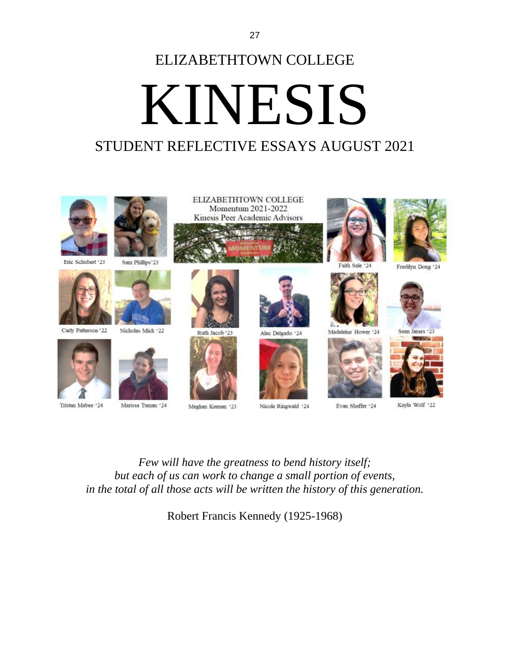# ELIZABETHTOWN COLLEGE KINESIS STUDENT REFLECTIVE ESSAYS AUGUST 2021



*Few will have the greatness to bend history itself; but each of us can work to change a small portion of events, in the total of all those acts will be written the history of this generation.*

Robert Francis Kennedy (1925-1968)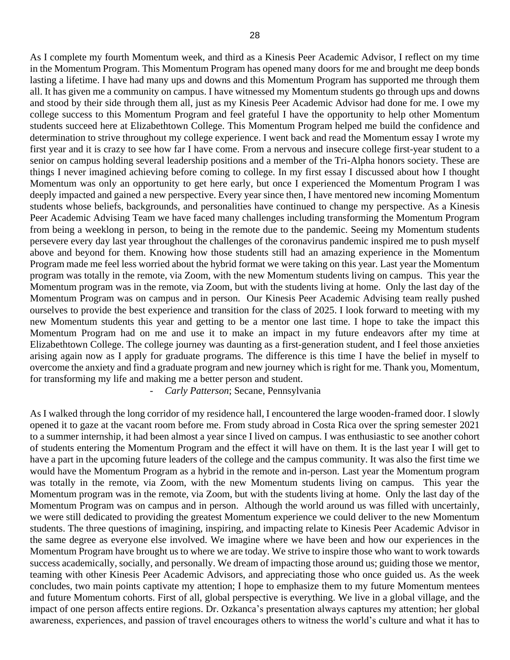As I complete my fourth Momentum week, and third as a Kinesis Peer Academic Advisor, I reflect on my time in the Momentum Program. This Momentum Program has opened many doors for me and brought me deep bonds lasting a lifetime. I have had many ups and downs and this Momentum Program has supported me through them all. It has given me a community on campus. I have witnessed my Momentum students go through ups and downs and stood by their side through them all, just as my Kinesis Peer Academic Advisor had done for me. I owe my college success to this Momentum Program and feel grateful I have the opportunity to help other Momentum students succeed here at Elizabethtown College. This Momentum Program helped me build the confidence and determination to strive throughout my college experience. I went back and read the Momentum essay I wrote my first year and it is crazy to see how far I have come. From a nervous and insecure college first-year student to a senior on campus holding several leadership positions and a member of the Tri-Alpha honors society. These are things I never imagined achieving before coming to college. In my first essay I discussed about how I thought Momentum was only an opportunity to get here early, but once I experienced the Momentum Program I was deeply impacted and gained a new perspective. Every year since then, I have mentored new incoming Momentum students whose beliefs, backgrounds, and personalities have continued to change my perspective. As a Kinesis Peer Academic Advising Team we have faced many challenges including transforming the Momentum Program from being a weeklong in person, to being in the remote due to the pandemic. Seeing my Momentum students persevere every day last year throughout the challenges of the coronavirus pandemic inspired me to push myself above and beyond for them. Knowing how those students still had an amazing experience in the Momentum Program made me feel less worried about the hybrid format we were taking on this year. Last year the Momentum program was totally in the remote, via Zoom, with the new Momentum students living on campus. This year the Momentum program was in the remote, via Zoom, but with the students living at home. Only the last day of the Momentum Program was on campus and in person. Our Kinesis Peer Academic Advising team really pushed ourselves to provide the best experience and transition for the class of 2025. I look forward to meeting with my new Momentum students this year and getting to be a mentor one last time. I hope to take the impact this Momentum Program had on me and use it to make an impact in my future endeavors after my time at Elizabethtown College. The college journey was daunting as a first-generation student, and I feel those anxieties arising again now as I apply for graduate programs. The difference is this time I have the belief in myself to overcome the anxiety and find a graduate program and new journey which is right for me. Thank you, Momentum, for transforming my life and making me a better person and student.

*- Carly Patterson*; Secane, Pennsylvania

As I walked through the long corridor of my residence hall, I encountered the large wooden-framed door. I slowly opened it to gaze at the vacant room before me. From study abroad in Costa Rica over the spring semester 2021 to a summer internship, it had been almost a year since I lived on campus. I was enthusiastic to see another cohort of students entering the Momentum Program and the effect it will have on them. It is the last year I will get to have a part in the upcoming future leaders of the college and the campus community. It was also the first time we would have the Momentum Program as a hybrid in the remote and in-person. Last year the Momentum program was totally in the remote, via Zoom, with the new Momentum students living on campus. This year the Momentum program was in the remote, via Zoom, but with the students living at home. Only the last day of the Momentum Program was on campus and in person. Although the world around us was filled with uncertainly, we were still dedicated to providing the greatest Momentum experience we could deliver to the new Momentum students. The three questions of imagining, inspiring, and impacting relate to Kinesis Peer Academic Advisor in the same degree as everyone else involved. We imagine where we have been and how our experiences in the Momentum Program have brought us to where we are today. We strive to inspire those who want to work towards success academically, socially, and personally. We dream of impacting those around us; guiding those we mentor, teaming with other Kinesis Peer Academic Advisors, and appreciating those who once guided us. As the week concludes, two main points captivate my attention; I hope to emphasize them to my future Momentum mentees and future Momentum cohorts. First of all, global perspective is everything. We live in a global village, and the impact of one person affects entire regions. Dr. Ozkanca's presentation always captures my attention; her global awareness, experiences, and passion of travel encourages others to witness the world's culture and what it has to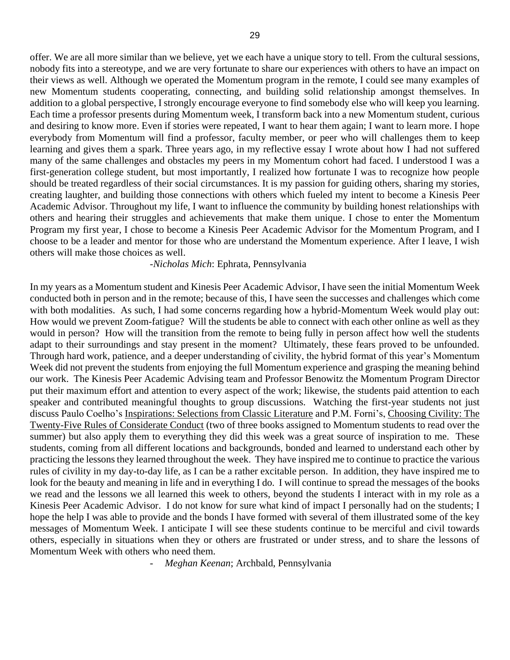offer. We are all more similar than we believe, yet we each have a unique story to tell. From the cultural sessions, nobody fits into a stereotype, and we are very fortunate to share our experiences with others to have an impact on their views as well. Although we operated the Momentum program in the remote, I could see many examples of new Momentum students cooperating, connecting, and building solid relationship amongst themselves. In addition to a global perspective, I strongly encourage everyone to find somebody else who will keep you learning. Each time a professor presents during Momentum week, I transform back into a new Momentum student, curious and desiring to know more. Even if stories were repeated, I want to hear them again; I want to learn more. I hope everybody from Momentum will find a professor, faculty member, or peer who will challenges them to keep learning and gives them a spark. Three years ago, in my reflective essay I wrote about how I had not suffered many of the same challenges and obstacles my peers in my Momentum cohort had faced. I understood I was a first-generation college student, but most importantly, I realized how fortunate I was to recognize how people should be treated regardless of their social circumstances. It is my passion for guiding others, sharing my stories, creating laughter, and building those connections with others which fueled my intent to become a Kinesis Peer Academic Advisor. Throughout my life, I want to influence the community by building honest relationships with others and hearing their struggles and achievements that make them unique. I chose to enter the Momentum Program my first year, I chose to become a Kinesis Peer Academic Advisor for the Momentum Program, and I choose to be a leader and mentor for those who are understand the Momentum experience. After I leave, I wish others will make those choices as well.

#### -*Nicholas Mich*: Ephrata, Pennsylvania

In my years as a Momentum student and Kinesis Peer Academic Advisor, I have seen the initial Momentum Week conducted both in person and in the remote; because of this, I have seen the successes and challenges which come with both modalities. As such, I had some concerns regarding how a hybrid-Momentum Week would play out: How would we prevent Zoom-fatigue? Will the students be able to connect with each other online as well as they would in person? How will the transition from the remote to being fully in person affect how well the students adapt to their surroundings and stay present in the moment? Ultimately, these fears proved to be unfounded. Through hard work, patience, and a deeper understanding of civility, the hybrid format of this year's Momentum Week did not prevent the students from enjoying the full Momentum experience and grasping the meaning behind our work. The Kinesis Peer Academic Advising team and Professor Benowitz the Momentum Program Director put their maximum effort and attention to every aspect of the work; likewise, the students paid attention to each speaker and contributed meaningful thoughts to group discussions. Watching the first-year students not just discuss Paulo Coelho's Inspirations: Selections from Classic Literature and P.M. Forni's, Choosing Civility: The Twenty-Five Rules of Considerate Conduct (two of three books assigned to Momentum students to read over the summer) but also apply them to everything they did this week was a great source of inspiration to me. These students, coming from all different locations and backgrounds, bonded and learned to understand each other by practicing the lessons they learned throughout the week. They have inspired me to continue to practice the various rules of civility in my day-to-day life, as I can be a rather excitable person. In addition, they have inspired me to look for the beauty and meaning in life and in everything I do. I will continue to spread the messages of the books we read and the lessons we all learned this week to others, beyond the students I interact with in my role as a Kinesis Peer Academic Advisor. I do not know for sure what kind of impact I personally had on the students; I hope the help I was able to provide and the bonds I have formed with several of them illustrated some of the key messages of Momentum Week. I anticipate I will see these students continue to be merciful and civil towards others, especially in situations when they or others are frustrated or under stress, and to share the lessons of Momentum Week with others who need them.

*- Meghan Keenan*; Archbald, Pennsylvania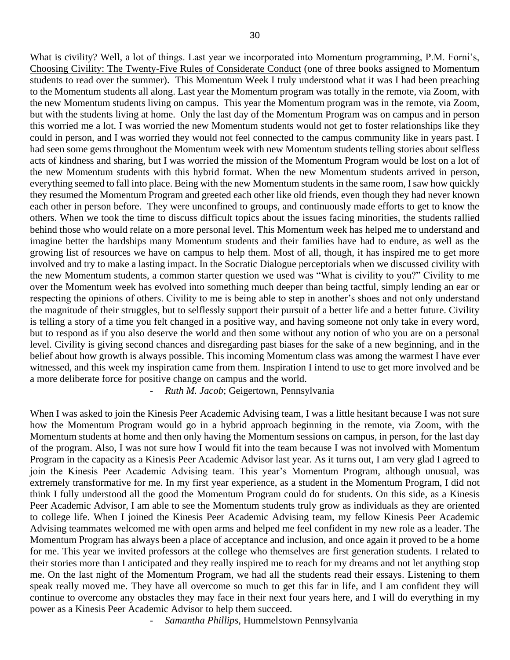What is civility? Well, a lot of things. Last year we incorporated into Momentum programming, P.M. Forni's, Choosing Civility: The Twenty-Five Rules of Considerate Conduct (one of three books assigned to Momentum students to read over the summer). This Momentum Week I truly understood what it was I had been preaching to the Momentum students all along. Last year the Momentum program was totally in the remote, via Zoom, with the new Momentum students living on campus. This year the Momentum program was in the remote, via Zoom, but with the students living at home. Only the last day of the Momentum Program was on campus and in person this worried me a lot. I was worried the new Momentum students would not get to foster relationships like they could in person, and I was worried they would not feel connected to the campus community like in years past. I had seen some gems throughout the Momentum week with new Momentum students telling stories about selfless acts of kindness and sharing, but I was worried the mission of the Momentum Program would be lost on a lot of the new Momentum students with this hybrid format. When the new Momentum students arrived in person, everything seemed to fall into place. Being with the new Momentum students in the same room, I saw how quickly they resumed the Momentum Program and greeted each other like old friends, even though they had never known each other in person before. They were unconfined to groups, and continuously made efforts to get to know the others. When we took the time to discuss difficult topics about the issues facing minorities, the students rallied behind those who would relate on a more personal level. This Momentum week has helped me to understand and imagine better the hardships many Momentum students and their families have had to endure, as well as the growing list of resources we have on campus to help them. Most of all, though, it has inspired me to get more involved and try to make a lasting impact. In the Socratic Dialogue perceptorials when we discussed civility with the new Momentum students, a common starter question we used was "What is civility to you?" Civility to me over the Momentum week has evolved into something much deeper than being tactful, simply lending an ear or respecting the opinions of others. Civility to me is being able to step in another's shoes and not only understand the magnitude of their struggles, but to selflessly support their pursuit of a better life and a better future. Civility is telling a story of a time you felt changed in a positive way, and having someone not only take in every word, but to respond as if you also deserve the world and then some without any notion of who you are on a personal level. Civility is giving second chances and disregarding past biases for the sake of a new beginning, and in the belief about how growth is always possible. This incoming Momentum class was among the warmest I have ever witnessed, and this week my inspiration came from them. Inspiration I intend to use to get more involved and be a more deliberate force for positive change on campus and the world.

*- Ruth M. Jacob*; Geigertown, Pennsylvania

When I was asked to join the Kinesis Peer Academic Advising team, I was a little hesitant because I was not sure how the Momentum Program would go in a hybrid approach beginning in the remote, via Zoom, with the Momentum students at home and then only having the Momentum sessions on campus, in person, for the last day of the program. Also, I was not sure how I would fit into the team because I was not involved with Momentum Program in the capacity as a Kinesis Peer Academic Advisor last year. As it turns out, I am very glad I agreed to join the Kinesis Peer Academic Advising team. This year's Momentum Program, although unusual, was extremely transformative for me. In my first year experience, as a student in the Momentum Program, I did not think I fully understood all the good the Momentum Program could do for students. On this side, as a Kinesis Peer Academic Advisor, I am able to see the Momentum students truly grow as individuals as they are oriented to college life. When I joined the Kinesis Peer Academic Advising team, my fellow Kinesis Peer Academic Advising teammates welcomed me with open arms and helped me feel confident in my new role as a leader. The Momentum Program has always been a place of acceptance and inclusion, and once again it proved to be a home for me. This year we invited professors at the college who themselves are first generation students. I related to their stories more than I anticipated and they really inspired me to reach for my dreams and not let anything stop me. On the last night of the Momentum Program, we had all the students read their essays. Listening to them speak really moved me. They have all overcome so much to get this far in life, and I am confident they will continue to overcome any obstacles they may face in their next four years here, and I will do everything in my power as a Kinesis Peer Academic Advisor to help them succeed.

*- Samantha Phillips*, Hummelstown Pennsylvania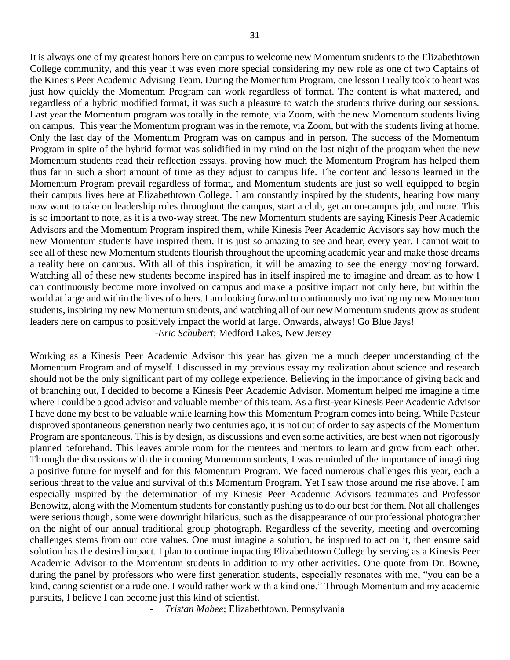It is always one of my greatest honors here on campus to welcome new Momentum students to the Elizabethtown College community, and this year it was even more special considering my new role as one of two Captains of the Kinesis Peer Academic Advising Team. During the Momentum Program, one lesson I really took to heart was just how quickly the Momentum Program can work regardless of format. The content is what mattered, and regardless of a hybrid modified format, it was such a pleasure to watch the students thrive during our sessions. Last year the Momentum program was totally in the remote, via Zoom, with the new Momentum students living on campus. This year the Momentum program was in the remote, via Zoom, but with the students living at home. Only the last day of the Momentum Program was on campus and in person. The success of the Momentum Program in spite of the hybrid format was solidified in my mind on the last night of the program when the new Momentum students read their reflection essays, proving how much the Momentum Program has helped them thus far in such a short amount of time as they adjust to campus life. The content and lessons learned in the Momentum Program prevail regardless of format, and Momentum students are just so well equipped to begin their campus lives here at Elizabethtown College. I am constantly inspired by the students, hearing how many now want to take on leadership roles throughout the campus, start a club, get an on-campus job, and more. This is so important to note, as it is a two-way street. The new Momentum students are saying Kinesis Peer Academic Advisors and the Momentum Program inspired them, while Kinesis Peer Academic Advisors say how much the new Momentum students have inspired them. It is just so amazing to see and hear, every year. I cannot wait to see all of these new Momentum students flourish throughout the upcoming academic year and make those dreams a reality here on campus. With all of this inspiration, it will be amazing to see the energy moving forward. Watching all of these new students become inspired has in itself inspired me to imagine and dream as to how I can continuously become more involved on campus and make a positive impact not only here, but within the world at large and within the lives of others. I am looking forward to continuously motivating my new Momentum students, inspiring my new Momentum students, and watching all of our new Momentum students grow as student leaders here on campus to positively impact the world at large. Onwards, always! Go Blue Jays! -*Eric Schubert*; Medford Lakes, New Jersey

Working as a Kinesis Peer Academic Advisor this year has given me a much deeper understanding of the Momentum Program and of myself. I discussed in my previous essay my realization about science and research should not be the only significant part of my college experience. Believing in the importance of giving back and of branching out, I decided to become a Kinesis Peer Academic Advisor. Momentum helped me imagine a time where I could be a good advisor and valuable member of this team. As a first-year Kinesis Peer Academic Advisor I have done my best to be valuable while learning how this Momentum Program comes into being. While Pasteur disproved spontaneous generation nearly two centuries ago, it is not out of order to say aspects of the Momentum Program are spontaneous. This is by design, as discussions and even some activities, are best when not rigorously planned beforehand. This leaves ample room for the mentees and mentors to learn and grow from each other. Through the discussions with the incoming Momentum students, I was reminded of the importance of imagining a positive future for myself and for this Momentum Program. We faced numerous challenges this year, each a serious threat to the value and survival of this Momentum Program. Yet I saw those around me rise above. I am especially inspired by the determination of my Kinesis Peer Academic Advisors teammates and Professor Benowitz, along with the Momentum students for constantly pushing us to do our best for them. Not all challenges were serious though, some were downright hilarious, such as the disappearance of our professional photographer on the night of our annual traditional group photograph. Regardless of the severity, meeting and overcoming challenges stems from our core values. One must imagine a solution, be inspired to act on it, then ensure said solution has the desired impact. I plan to continue impacting Elizabethtown College by serving as a Kinesis Peer Academic Advisor to the Momentum students in addition to my other activities. One quote from Dr. Bowne, during the panel by professors who were first generation students, especially resonates with me, "you can be a kind, caring scientist or a rude one. I would rather work with a kind one." Through Momentum and my academic pursuits, I believe I can become just this kind of scientist.

*- Tristan Mabee*; Elizabethtown, Pennsylvania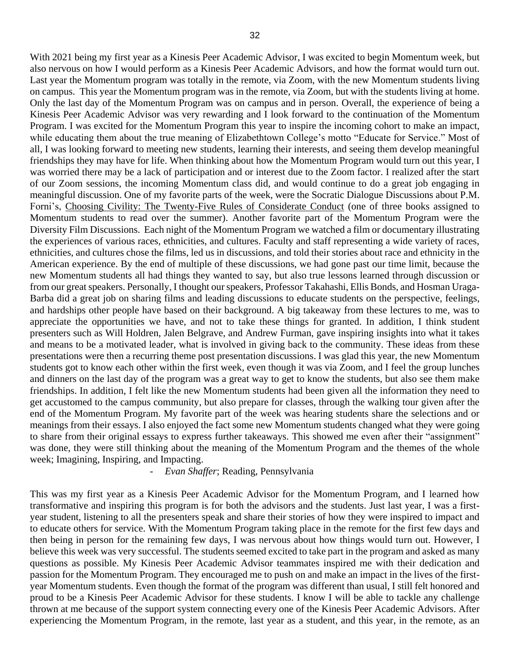With 2021 being my first year as a Kinesis Peer Academic Advisor, I was excited to begin Momentum week, but also nervous on how I would perform as a Kinesis Peer Academic Advisors, and how the format would turn out. Last year the Momentum program was totally in the remote, via Zoom, with the new Momentum students living on campus. This year the Momentum program was in the remote, via Zoom, but with the students living at home. Only the last day of the Momentum Program was on campus and in person. Overall, the experience of being a Kinesis Peer Academic Advisor was very rewarding and I look forward to the continuation of the Momentum Program. I was excited for the Momentum Program this year to inspire the incoming cohort to make an impact, while educating them about the true meaning of Elizabethtown College's motto "Educate for Service." Most of all, I was looking forward to meeting new students, learning their interests, and seeing them develop meaningful friendships they may have for life. When thinking about how the Momentum Program would turn out this year, I was worried there may be a lack of participation and or interest due to the Zoom factor. I realized after the start of our Zoom sessions, the incoming Momentum class did, and would continue to do a great job engaging in meaningful discussion. One of my favorite parts of the week, were the Socratic Dialogue Discussions about P.M. Forni's, Choosing Civility: The Twenty-Five Rules of Considerate Conduct (one of three books assigned to Momentum students to read over the summer). Another favorite part of the Momentum Program were the Diversity Film Discussions. Each night of the Momentum Program we watched a film or documentary illustrating the experiences of various races, ethnicities, and cultures. Faculty and staff representing a wide variety of races, ethnicities, and cultures chose the films, led us in discussions, and told their stories about race and ethnicity in the American experience. By the end of multiple of these discussions, we had gone past our time limit, because the new Momentum students all had things they wanted to say, but also true lessons learned through discussion or from our great speakers. Personally, I thought our speakers, Professor Takahashi, Ellis Bonds, and Hosman Uraga-Barba did a great job on sharing films and leading discussions to educate students on the perspective, feelings, and hardships other people have based on their background. A big takeaway from these lectures to me, was to appreciate the opportunities we have, and not to take these things for granted. In addition, I think student presenters such as Will Holdren, Jalen Belgrave, and Andrew Furman, gave inspiring insights into what it takes and means to be a motivated leader, what is involved in giving back to the community. These ideas from these presentations were then a recurring theme post presentation discussions. I was glad this year, the new Momentum students got to know each other within the first week, even though it was via Zoom, and I feel the group lunches and dinners on the last day of the program was a great way to get to know the students, but also see them make friendships. In addition, I felt like the new Momentum students had been given all the information they need to get accustomed to the campus community, but also prepare for classes, through the walking tour given after the end of the Momentum Program. My favorite part of the week was hearing students share the selections and or meanings from their essays. I also enjoyed the fact some new Momentum students changed what they were going to share from their original essays to express further takeaways. This showed me even after their "assignment" was done, they were still thinking about the meaning of the Momentum Program and the themes of the whole week; Imagining, Inspiring, and Impacting.

# *- Evan Shaffer*; Reading, Pennsylvania

This was my first year as a Kinesis Peer Academic Advisor for the Momentum Program, and I learned how transformative and inspiring this program is for both the advisors and the students. Just last year, I was a firstyear student, listening to all the presenters speak and share their stories of how they were inspired to impact and to educate others for service. With the Momentum Program taking place in the remote for the first few days and then being in person for the remaining few days, I was nervous about how things would turn out. However, I believe this week was very successful. The students seemed excited to take part in the program and asked as many questions as possible. My Kinesis Peer Academic Advisor teammates inspired me with their dedication and passion for the Momentum Program. They encouraged me to push on and make an impact in the lives of the firstyear Momentum students. Even though the format of the program was different than usual, I still felt honored and proud to be a Kinesis Peer Academic Advisor for these students. I know I will be able to tackle any challenge thrown at me because of the support system connecting every one of the Kinesis Peer Academic Advisors. After experiencing the Momentum Program, in the remote, last year as a student, and this year, in the remote, as an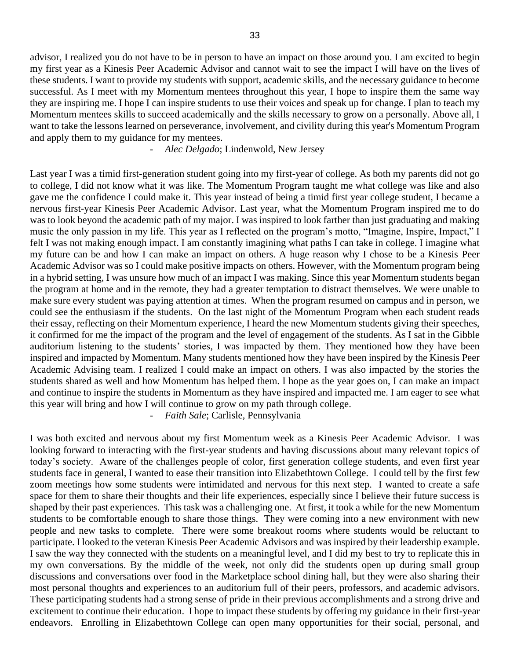advisor, I realized you do not have to be in person to have an impact on those around you. I am excited to begin my first year as a Kinesis Peer Academic Advisor and cannot wait to see the impact I will have on the lives of these students. I want to provide my students with support, academic skills, and the necessary guidance to become successful. As I meet with my Momentum mentees throughout this year, I hope to inspire them the same way they are inspiring me. I hope I can inspire students to use their voices and speak up for change. I plan to teach my Momentum mentees skills to succeed academically and the skills necessary to grow on a personally. Above all, I want to take the lessons learned on perseverance, involvement, and civility during this year's Momentum Program and apply them to my guidance for my mentees.

## *- Alec Delgado*; Lindenwold, New Jersey

Last year I was a timid first-generation student going into my first-year of college. As both my parents did not go to college, I did not know what it was like. The Momentum Program taught me what college was like and also gave me the confidence I could make it. This year instead of being a timid first year college student, I became a nervous first-year Kinesis Peer Academic Advisor. Last year, what the Momentum Program inspired me to do was to look beyond the academic path of my major. I was inspired to look farther than just graduating and making music the only passion in my life. This year as I reflected on the program's motto, "Imagine, Inspire, Impact," I felt I was not making enough impact. I am constantly imagining what paths I can take in college. I imagine what my future can be and how I can make an impact on others. A huge reason why I chose to be a Kinesis Peer Academic Advisor was so I could make positive impacts on others. However, with the Momentum program being in a hybrid setting, I was unsure how much of an impact I was making. Since this year Momentum students began the program at home and in the remote, they had a greater temptation to distract themselves. We were unable to make sure every student was paying attention at times. When the program resumed on campus and in person, we could see the enthusiasm if the students. On the last night of the Momentum Program when each student reads their essay, reflecting on their Momentum experience, I heard the new Momentum students giving their speeches, it confirmed for me the impact of the program and the level of engagement of the students. As I sat in the Gibble auditorium listening to the students' stories, I was impacted by them. They mentioned how they have been inspired and impacted by Momentum. Many students mentioned how they have been inspired by the Kinesis Peer Academic Advising team. I realized I could make an impact on others. I was also impacted by the stories the students shared as well and how Momentum has helped them. I hope as the year goes on, I can make an impact and continue to inspire the students in Momentum as they have inspired and impacted me. I am eager to see what this year will bring and how I will continue to grow on my path through college.

*- Faith Sale*; Carlisle, Pennsylvania

I was both excited and nervous about my first Momentum week as a Kinesis Peer Academic Advisor. I was looking forward to interacting with the first-year students and having discussions about many relevant topics of today's society. Aware of the challenges people of color, first generation college students, and even first year students face in general, I wanted to ease their transition into Elizabethtown College. I could tell by the first few zoom meetings how some students were intimidated and nervous for this next step. I wanted to create a safe space for them to share their thoughts and their life experiences, especially since I believe their future success is shaped by their past experiences. This task was a challenging one. At first, it took a while for the new Momentum students to be comfortable enough to share those things. They were coming into a new environment with new people and new tasks to complete. There were some breakout rooms where students would be reluctant to participate. I looked to the veteran Kinesis Peer Academic Advisors and was inspired by their leadership example. I saw the way they connected with the students on a meaningful level, and I did my best to try to replicate this in my own conversations. By the middle of the week, not only did the students open up during small group discussions and conversations over food in the Marketplace school dining hall, but they were also sharing their most personal thoughts and experiences to an auditorium full of their peers, professors, and academic advisors. These participating students had a strong sense of pride in their previous accomplishments and a strong drive and excitement to continue their education. I hope to impact these students by offering my guidance in their first-year endeavors. Enrolling in Elizabethtown College can open many opportunities for their social, personal, and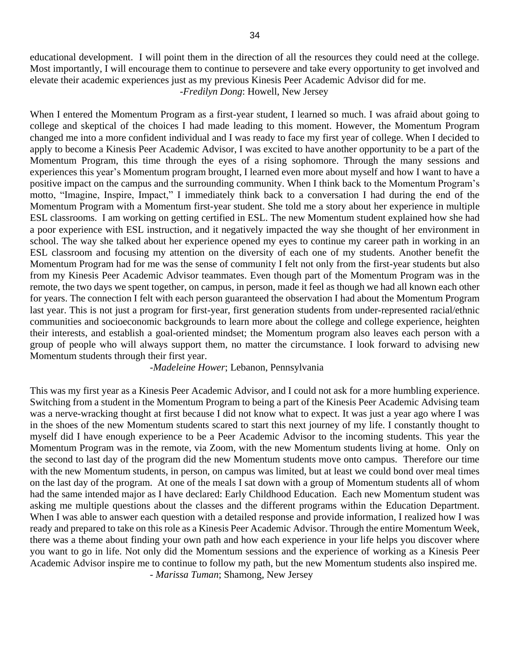educational development. I will point them in the direction of all the resources they could need at the college. Most importantly, I will encourage them to continue to persevere and take every opportunity to get involved and elevate their academic experiences just as my previous Kinesis Peer Academic Advisor did for me.

-*Fredilyn Dong*: Howell, New Jersey

When I entered the Momentum Program as a first-year student, I learned so much. I was afraid about going to college and skeptical of the choices I had made leading to this moment. However, the Momentum Program changed me into a more confident individual and I was ready to face my first year of college. When I decided to apply to become a Kinesis Peer Academic Advisor, I was excited to have another opportunity to be a part of the Momentum Program, this time through the eyes of a rising sophomore. Through the many sessions and experiences this year's Momentum program brought, I learned even more about myself and how I want to have a positive impact on the campus and the surrounding community. When I think back to the Momentum Program's motto, "Imagine, Inspire, Impact," I immediately think back to a conversation I had during the end of the Momentum Program with a Momentum first-year student. She told me a story about her experience in multiple ESL classrooms. I am working on getting certified in ESL. The new Momentum student explained how she had a poor experience with ESL instruction, and it negatively impacted the way she thought of her environment in school. The way she talked about her experience opened my eyes to continue my career path in working in an ESL classroom and focusing my attention on the diversity of each one of my students. Another benefit the Momentum Program had for me was the sense of community I felt not only from the first-year students but also from my Kinesis Peer Academic Advisor teammates. Even though part of the Momentum Program was in the remote, the two days we spent together, on campus, in person, made it feel as though we had all known each other for years. The connection I felt with each person guaranteed the observation I had about the Momentum Program last year. This is not just a program for first-year, first generation students from under-represented racial/ethnic communities and socioeconomic backgrounds to learn more about the college and college experience, heighten their interests, and establish a goal-oriented mindset; the Momentum program also leaves each person with a group of people who will always support them, no matter the circumstance. I look forward to advising new Momentum students through their first year.

## -*Madeleine Hower*; Lebanon, Pennsylvania

This was my first year as a Kinesis Peer Academic Advisor, and I could not ask for a more humbling experience. Switching from a student in the Momentum Program to being a part of the Kinesis Peer Academic Advising team was a nerve-wracking thought at first because I did not know what to expect. It was just a year ago where I was in the shoes of the new Momentum students scared to start this next journey of my life. I constantly thought to myself did I have enough experience to be a Peer Academic Advisor to the incoming students. This year the Momentum Program was in the remote, via Zoom, with the new Momentum students living at home. Only on the second to last day of the program did the new Momentum students move onto campus. Therefore our time with the new Momentum students, in person, on campus was limited, but at least we could bond over meal times on the last day of the program. At one of the meals I sat down with a group of Momentum students all of whom had the same intended major as I have declared: Early Childhood Education. Each new Momentum student was asking me multiple questions about the classes and the different programs within the Education Department. When I was able to answer each question with a detailed response and provide information, I realized how I was ready and prepared to take on this role as a Kinesis Peer Academic Advisor. Through the entire Momentum Week, there was a theme about finding your own path and how each experience in your life helps you discover where you want to go in life. Not only did the Momentum sessions and the experience of working as a Kinesis Peer Academic Advisor inspire me to continue to follow my path, but the new Momentum students also inspired me. - *Marissa Tuman*; Shamong, New Jersey